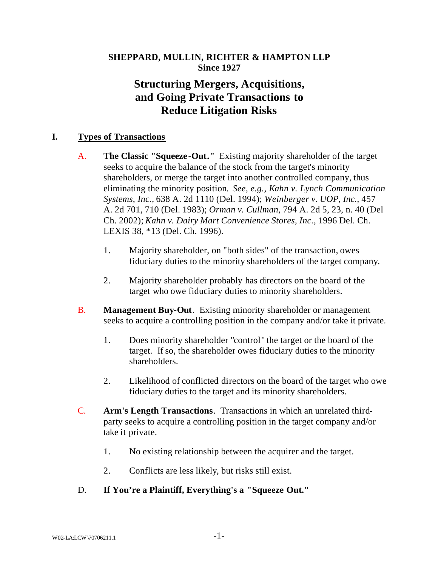# **SHEPPARD, MULLIN, RICHTER & HAMPTON LLP Since 1927**

# **Structuring Mergers, Acquisitions, and Going Private Transactions to Reduce Litigation Risks**

# **I. Types of Transactions**

- A. **The Classic "Squeeze -Out."** Existing majority shareholder of the target seeks to acquire the balance of the stock from the target's minority shareholders, or merge the target into another controlled company, thus eliminating the minority position. *See, e.g., Kahn v. Lynch Communication Systems, Inc.,* 638 A. 2d 1110 (Del. 1994); *Weinberger v. UOP, Inc.,* 457 A. 2d 701, 710 (Del. 1983); *Orman v. Cullman*, 794 A. 2d 5, 23, n. 40 (Del Ch. 2002); *Kahn v. Dairy Mart Convenience Stores, Inc.*, 1996 Del. Ch. LEXIS 38, \*13 (Del. Ch. 1996).
	- 1. Majority shareholder, on "both sides" of the transaction, owes fiduciary duties to the minority shareholders of the target company.
	- 2. Majority shareholder probably has directors on the board of the target who owe fiduciary duties to minority shareholders.
- B. **Management Buy-Out**. Existing minority shareholder or management seeks to acquire a controlling position in the company and/or take it private.
	- 1. Does minority shareholder "control" the target or the board of the target. If so, the shareholder owes fiduciary duties to the minority shareholders.
	- 2. Likelihood of conflicted directors on the board of the target who owe fiduciary duties to the target and its minority shareholders.
- C. **Arm's Length Transactions**. Transactions in which an unrelated thirdparty seeks to acquire a controlling position in the target company and/or take it private.
	- 1. No existing relationship between the acquirer and the target.
	- 2. Conflicts are less likely, but risks still exist.

# D. **If You're a Plaintiff, Everything's a "Squeeze Out."**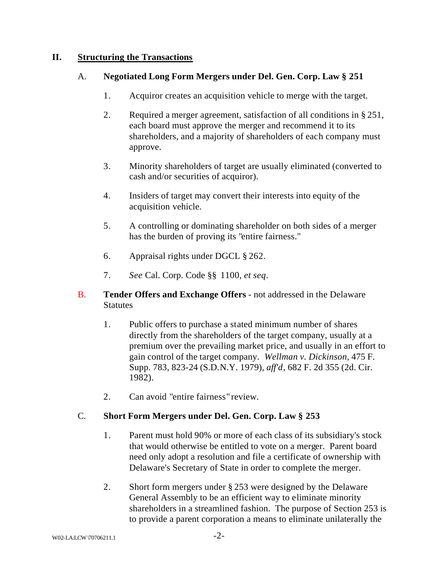### **II. Structuring the Transactions**

### A. **Negotiated Long Form Mergers under Del. Gen. Corp. Law § 251**

- 1. Acquiror creates an acquisition vehicle to merge with the target.
- 2. Required a merger agreement, satisfaction of all conditions in § 251, each board must approve the merger and recommend it to its shareholders, and a majority of shareholders of each company must approve.
- 3. Minority shareholders of target are usually eliminated (converted to cash and/or securities of acquiror).
- 4. Insiders of target may convert their interests into equity of the acquisition vehicle.
- 5. A controlling or dominating shareholder on both sides of a merger has the burden of proving its "entire fairness."
- 6. Appraisal rights under DGCL § 262.
- 7. *See* Cal. Corp. Code §§ 1100, *et seq*.
- B. **Tender Offers and Exchange Offers** not addressed in the Delaware **Statutes** 
	- 1. Public offers to purchase a stated minimum number of shares directly from the shareholders of the target company, usually at a premium over the prevailing market price, and usually in an effort to gain control of the target company. *Wellman v. Dickinson*, 475 F. Supp. 783, 823-24 (S.D.N.Y. 1979), *aff'd*, 682 F. 2d 355 (2d. Cir. 1982).
	- 2. Can avoid "entire fairness" review.

# C. **Short Form Mergers under Del. Gen. Corp. Law § 253**

- 1. Parent must hold 90% or more of each class of its subsidiary's stock that would otherwise be entitled to vote on a merger. Parent board need only adopt a resolution and file a certificate of ownership with Delaware's Secretary of State in order to complete the merger.
- 2. Short form mergers under § 253 were designed by the Delaware General Assembly to be an efficient way to eliminate minority shareholders in a streamlined fashion. The purpose of Section 253 is to provide a parent corporation a means to eliminate unilaterally the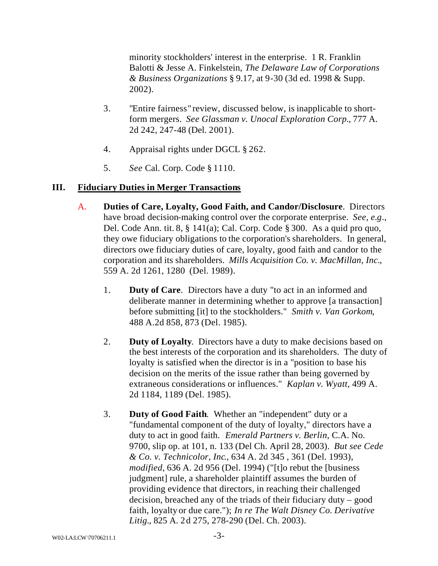minority stockholders' interest in the enterprise. 1 R. Franklin Balotti & Jesse A. Finkelstein, *The Delaware Law of Corporations & Business Organizations* § 9.17, at 9-30 (3d ed. 1998 & Supp. 2002).

- 3. "Entire fairness" review, discussed below, is inapplicable to shortform mergers. *See Glassman v. Unocal Exploration Corp.*, 777 A. 2d 242, 247-48 (Del. 2001).
- 4. Appraisal rights under DGCL § 262.
- 5. *See* Cal. Corp. Code § 1110.

### **III. Fiduciary Duties in Merger Transactions**

- A. **Duties of Care, Loyalty, Good Faith, and Candor/Disclosure**. Directors have broad decision-making control over the corporate enterprise. *See, e.g*., Del. Code Ann. tit. 8, § 141(a); Cal. Corp. Code § 300. As a quid pro quo, they owe fiduciary obligations to the corporation's shareholders. In general, directors owe fiduciary duties of care, loyalty, good faith and candor to the corporation and its shareholders. *Mills Acquisition Co. v. MacMillan, Inc.*, 559 A. 2d 1261, 1280 (Del. 1989).
	- 1. **Duty of Care**. Directors have a duty "to act in an informed and deliberate manner in determining whether to approve [a transaction] before submitting [it] to the stockholders." *Smith v. Van Gorkom*, 488 A.2d 858, 873 (Del. 1985).
	- 2. **Duty of Loyalty**. Directors have a duty to make decisions based on the best interests of the corporation and its shareholders. The duty of loyalty is satisfied when the director is in a "position to base his decision on the merits of the issue rather than being governed by extraneous considerations or influences." *Kaplan v. Wyatt*, 499 A. 2d 1184, 1189 (Del. 1985).
	- 3. **Duty of Good Faith**. Whether an "independent" duty or a "fundamental component of the duty of loyalty," directors have a duty to act in good faith. *Emerald Partners v. Berlin*, C.A. No. 9700, slip op. at 101, n. 133 (Del Ch. April 28, 2003). *But see Cede & Co. v. Technicolor, Inc*., 634 A. 2d 345 , 361 (Del. 1993), *modified*, 636 A. 2d 956 (Del. 1994) ("[t]o rebut the [business judgment] rule, a shareholder plaintiff assumes the burden of providing evidence that directors, in reaching their challenged decision, breached any of the triads of their fiduciary duty – good faith, loyalty or due care."); *In re The Walt Disney Co. Derivative Litig.*, 825 A. 2d 275, 278-290 (Del. Ch. 2003).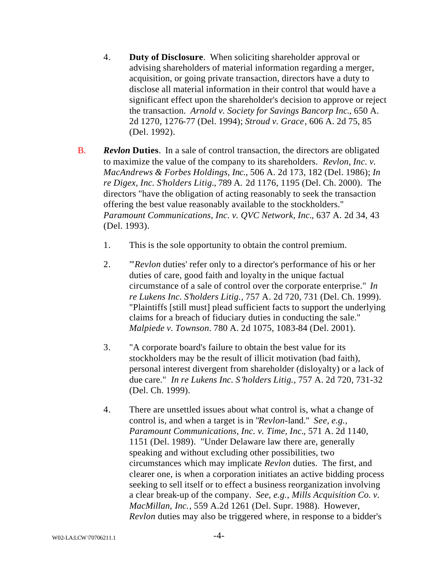- 4. **Duty of Disclosure**. When soliciting shareholder approval or advising shareholders of material information regarding a merger, acquisition, or going private transaction, directors have a duty to disclose all material information in their control that would have a significant effect upon the shareholder's decision to approve or reject the transaction. *Arnold v. Society for Savings Bancorp Inc*., 650 A. 2d 1270, 1276-77 (Del. 1994); *Stroud v. Grace*, 606 A. 2d 75, 85 (Del. 1992).
- B. *Revlon* **Duties**. In a sale of control transaction, the directors are obligated to maximize the value of the company to its shareholders. *Revlon, Inc. v. MacAndrews & Forbes Holdings, Inc.*, 506 A. 2d 173, 182 (Del. 1986); *In re Digex, Inc. S'holders Litig.*, 789 A. 2d 1176, 1195 (Del. Ch. 2000). The directors "have the obligation of acting reasonably to seek the transaction offering the best value reasonably available to the stockholders." *Paramount Communications, Inc. v. QVC Network, Inc.*, 637 A. 2d 34, 43 (Del. 1993).
	- 1. This is the sole opportunity to obtain the control premium.
	- 2. "'*Revlon* duties' refer only to a director's performance of his or her duties of care, good faith and loyalty in the unique factual circumstance of a sale of control over the corporate enterprise." *In re Lukens Inc. S'holders Litig.,* 757 A. 2d 720, 731 (Del. Ch. 1999). "Plaintiffs [still must] plead sufficient facts to support the underlying claims for a breach of fiduciary duties in conducting the sale." *Malpiede v. Townson*. 780 A. 2d 1075, 1083-84 (Del. 2001).
	- 3. "A corporate board's failure to obtain the best value for its stockholders may be the result of illicit motivation (bad faith), personal interest divergent from shareholder (disloyalty) or a lack of due care." *In re Lukens Inc. S'holders Litig.,* 757 A. 2d 720, 731-32 (Del. Ch. 1999).
	- 4. There are unsettled issues about what control is, what a change of control is, and when a target is in "*Revlon*-land." *See, e.g., Paramount Communications, Inc. v. Time, Inc.*, 571 A. 2d 1140, 1151 (Del. 1989). "Under Delaware law there are, generally speaking and without excluding other possibilities, two circumstances which may implicate *Revlon* duties. The first, and clearer one, is when a corporation initiates an active bidding process seeking to sell itself or to effect a business reorganization involving a clear break-up of the company. *See, e.g., Mills Acquisition Co. v. MacMillan, Inc.*, 559 A.2d 1261 (Del. Supr. 1988). However, *Revlon* duties may also be triggered where, in response to a bidder's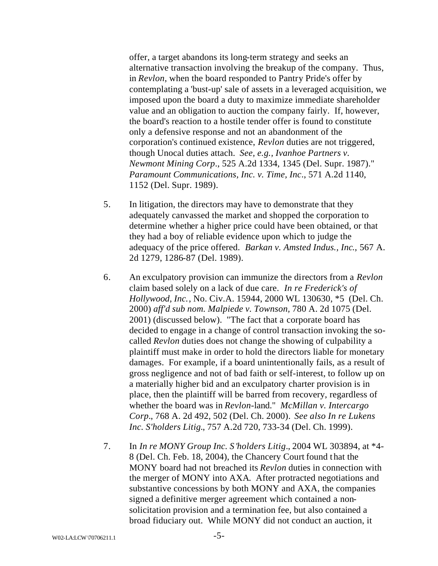offer, a target abandons its long-term strategy and seeks an alternative transaction involving the breakup of the company. Thus, in *Revlon*, when the board responded to Pantry Pride's offer by contemplating a 'bust-up' sale of assets in a leveraged acquisition, we imposed upon the board a duty to maximize immediate shareholder value and an obligation to auction the company fairly. If, however, the board's reaction to a hostile tender offer is found to constitute only a defensive response and not an abandonment of the corporation's continued existence, *Revlon* duties are not triggered, though Unocal duties attach. *See, e.g., Ivanhoe Partners v. Newmont Mining Corp*., 525 A.2d 1334, 1345 (Del. Supr. 1987)." *Paramount Communications, Inc. v. Time, Inc*., 571 A.2d 1140, 1152 (Del. Supr. 1989).

- 5. In litigation, the directors may have to demonstrate that they adequately canvassed the market and shopped the corporation to determine whether a higher price could have been obtained, or that they had a boy of reliable evidence upon which to judge the adequacy of the price offered. *Barkan v. Amsted Indus., Inc*., 567 A. 2d 1279, 1286-87 (Del. 1989).
- 6. An exculpatory provision can immunize the directors from a *Revlon* claim based solely on a lack of due care. *In re Frederick's of Hollywood, Inc.*, No. Civ.A. 15944, 2000 WL 130630, \*5 (Del. Ch. 2000) *aff'd sub nom. Malpiede v. Townson,* 780 A. 2d 1075 (Del. 2001) (discussed below). "The fact that a corporate board has decided to engage in a change of control transaction invoking the socalled *Revlon* duties does not change the showing of culpability a plaintiff must make in order to hold the directors liable for monetary damages. For example, if a board unintentionally fails, as a result of gross negligence and not of bad faith or self-interest, to follow up on a materially higher bid and an exculpatory charter provision is in place, then the plaintiff will be barred from recovery, regardless of whether the board was in *Revlon*-land." *McMillan v. Intercargo Corp.*, 768 A. 2d 492, 502 (Del. Ch. 2000). *See also In re Lukens Inc. S'holders Litig.*, 757 A.2d 720, 733-34 (Del. Ch. 1999).
- 7. In *In re MONY Group Inc. S 'holders Litig*., 2004 WL 303894, at \*4- 8 (Del. Ch. Feb. 18, 2004), the Chancery Court found that the MONY board had not breached its *Revlon* duties in connection with the merger of MONY into AXA. After protracted negotiations and substantive concessions by both MONY and AXA, the companies signed a definitive merger agreement which contained a nonsolicitation provision and a termination fee, but also contained a broad fiduciary out. While MONY did not conduct an auction, it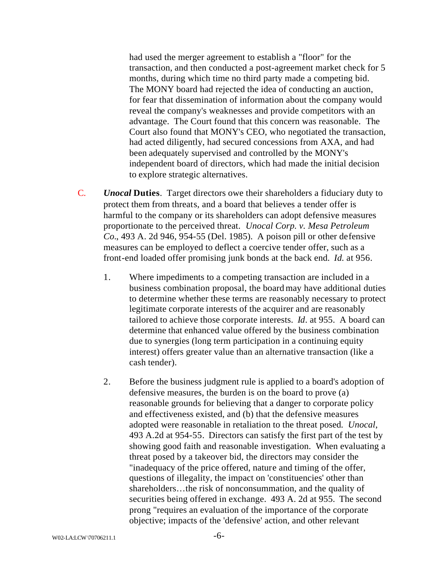had used the merger agreement to establish a "floor" for the transaction, and then conducted a post-agreement market check for 5 months, during which time no third party made a competing bid. The MONY board had rejected the idea of conducting an auction, for fear that dissemination of information about the company would reveal the company's weaknesses and provide competitors with an advantage. The Court found that this concern was reasonable. The Court also found that MONY's CEO, who negotiated the transaction, had acted diligently, had secured concessions from AXA, and had been adequately supervised and controlled by the MONY's independent board of directors, which had made the initial decision to explore strategic alternatives.

- C. *Unocal* **Duties**. Target directors owe their shareholders a fiduciary duty to protect them from threats, and a board that believes a tender offer is harmful to the company or its shareholders can adopt defensive measures proportionate to the perceived threat. *Unocal Corp. v. Mesa Petroleum Co.*, 493 A. 2d 946, 954-55 (Del. 1985). A poison pill or other defensive measures can be employed to deflect a coercive tender offer, such as a front-end loaded offer promising junk bonds at the back end. *Id.* at 956.
	- 1. Where impediments to a competing transaction are included in a business combination proposal, the board may have additional duties to determine whether these terms are reasonably necessary to protect legitimate corporate interests of the acquirer and are reasonably tailored to achieve those corporate interests. *Id*. at 955. A board can determine that enhanced value offered by the business combination due to synergies (long term participation in a continuing equity interest) offers greater value than an alternative transaction (like a cash tender).
	- 2. Before the business judgment rule is applied to a board's adoption of defensive measures, the burden is on the board to prove (a) reasonable grounds for believing that a danger to corporate policy and effectiveness existed, and (b) that the defensive measures adopted were reasonable in retaliation to the threat posed. *Unocal*, 493 A.2d at 954-55. Directors can satisfy the first part of the test by showing good faith and reasonable investigation. When evaluating a threat posed by a takeover bid, the directors may consider the "inadequacy of the price offered, nature and timing of the offer, questions of illegality, the impact on 'constituencies' other than shareholders…the risk of nonconsummation, and the quality of securities being offered in exchange. 493 A. 2d at 955. The second prong "requires an evaluation of the importance of the corporate objective; impacts of the 'defensive' action, and other relevant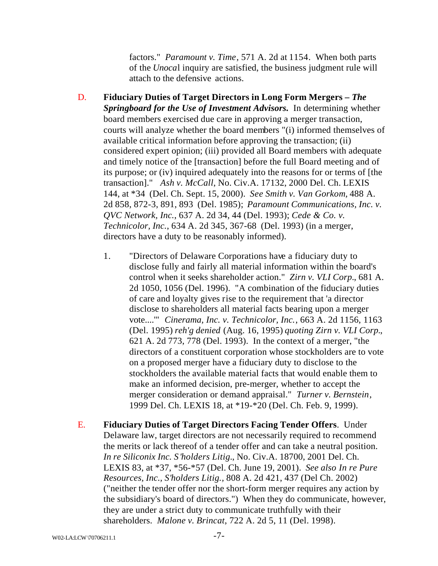factors." *Paramount v. Time*, 571 A. 2d at 1154. When both parts of the *Unoca*l inquiry are satisfied, the business judgment rule will attach to the defensive actions.

- D. **Fiduciary Duties of Target Directors in Long Form Mergers –** *The Springboard for the Use of Investment Advisors.*In determining whether board members exercised due care in approving a merger transaction, courts will analyze whether the board members "(i) informed themselves of available critical information before approving the transaction; (ii) considered expert opinion; (iii) provided all Board members with adequate and timely notice of the [transaction] before the full Board meeting and of its purpose; or (iv) inquired adequately into the reasons for or terms of [the transaction]." *Ash v. McCall*, No. Civ.A. 17132, 2000 Del. Ch. LEXIS 144, at \*34 (Del. Ch. Sept. 15, 2000). *See Smith v. Van Gorkom,* 488 A. 2d 858, 872-3, 891, 893 (Del. 1985); *Paramount Communications, Inc. v. QVC Network, Inc.*, 637 A. 2d 34, 44 (Del. 1993); *Cede & Co. v. Technicolor, Inc.*, 634 A. 2d 345, 367-68 (Del. 1993) (in a merger, directors have a duty to be reasonably informed).
	- 1. "Directors of Delaware Corporations have a fiduciary duty to disclose fully and fairly all material information within the board's control when it seeks shareholder action." *Zirn v. VLI Corp.*, 681 A. 2d 1050, 1056 (Del. 1996). "A combination of the fiduciary duties of care and loyalty gives rise to the requirement that 'a director disclose to shareholders all material facts bearing upon a merger vote....'" *Cinerama, Inc. v. Technicolor, Inc.*, 663 A. 2d 1156, 1163 (Del. 1995) *reh'g denied* (Aug. 16, 1995) *quoting Zirn v. VLI Corp.*, 621 A. 2d 773, 778 (Del. 1993). In the context of a merger, "the directors of a constituent corporation whose stockholders are to vote on a proposed merger have a fiduciary duty to disclose to the stockholders the available material facts that would enable them to make an informed decision, pre-merger, whether to accept the merger consideration or demand appraisal." *Turner v. Bernstein*, 1999 Del. Ch. LEXIS 18, at \*19-\*20 (Del. Ch. Feb. 9, 1999).
- E. **Fiduciary Duties of Target Directors Facing Tender Offers**. Under Delaware law, target directors are not necessarily required to recommend the merits or lack thereof of a tender offer and can take a neutral position. *In re Siliconix Inc. S'holders Litig.*, No. Civ.A. 18700, 2001 Del. Ch. LEXIS 83, at \*37, \*56-\*57 (Del. Ch. June 19, 2001). *See also In re Pure Resources, Inc., S'holders Litig.,* 808 A. 2d 421, 437 (Del Ch. 2002) ("neither the tender offer nor the short-form merger requires any action by the subsidiary's board of directors.") When they do communicate, however, they are under a strict duty to communicate truthfully with their shareholders. *Malone v. Brincat*, 722 A. 2d 5, 11 (Del. 1998).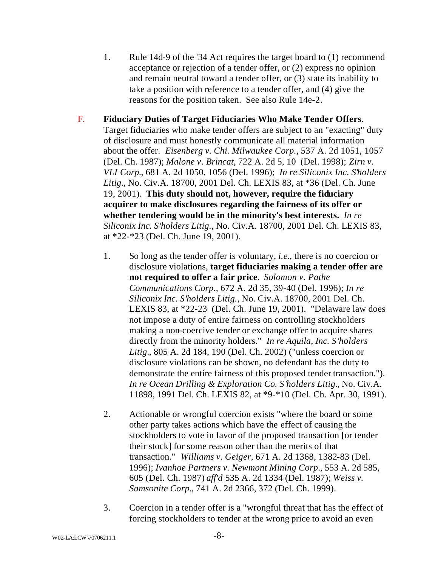- 1. Rule 14d-9 of the '34 Act requires the target board to (1) recommend acceptance or rejection of a tender offer, or (2) express no opinion and remain neutral toward a tender offer, or (3) state its inability to take a position with reference to a tender offer, and (4) give the reasons for the position taken. See also Rule 14e-2.
- F. **Fiduciary Duties of Target Fiduciaries Who Make Tender Offers**. Target fiduciaries who make tender offers are subject to an "exacting" duty of disclosure and must honestly communicate all material information about the offer. *Eisenberg v. Chi. Milwaukee Corp.,* 537 A. 2d 1051, 1057 (Del. Ch. 1987); *Malone v. Brincat,* 722 A. 2d 5, 10 (Del. 1998); *Zirn v. VLI Corp.*, 681 A. 2d 1050, 1056 (Del. 1996); *In re Siliconix Inc. S'holders Litig.*, No. Civ.A. 18700, 2001 Del. Ch. LEXIS 83, at \*36 (Del. Ch. June 19, 2001). **This duty should not, however, require the fiduciary acquirer to make disclosures regarding the fairness of its offer or whether tendering would be in the minority's best interests.** *In re Siliconix Inc. S'holders Litig.,* No. Civ.A. 18700, 2001 Del. Ch. LEXIS 83, at \*22-\*23 (Del. Ch. June 19, 2001).
	- 1. So long as the tender offer is voluntary, *i.e.*, there is no coercion or disclosure violations, **target fiduciaries making a tender offer are not required to offer a fair price**. *Solomon v. Pathe Communications Corp.,* 672 A. 2d 35, 39-40 (Del. 1996); *In re Siliconix Inc. S'holders Litig.,* No. Civ.A. 18700, 2001 Del. Ch. LEXIS 83, at \*22-23 (Del. Ch. June 19, 2001). "Delaware law does not impose a duty of entire fairness on controlling stockholders making a non-coercive tender or exchange offer to acquire shares directly from the minority holders." *In re Aquila, Inc. S'holders Litig.*, 805 A. 2d 184, 190 (Del. Ch. 2002) ("unless coercion or disclosure violations can be shown, no defendant has the duty to demonstrate the entire fairness of this proposed tender transaction."). *In re Ocean Drilling & Exploration Co. S'holders Litig.*, No. Civ.A. 11898, 1991 Del. Ch. LEXIS 82, at \*9-\*10 (Del. Ch. Apr. 30, 1991).
	- 2. Actionable or wrongful coercion exists "where the board or some other party takes actions which have the effect of causing the stockholders to vote in favor of the proposed transaction [or tender their stock] for some reason other than the merits of that transaction." *Williams v. Geiger*, 671 A. 2d 1368, 1382-83 (Del. 1996); *Ivanhoe Partners v. Newmont Mining Corp.*, 553 A. 2d 585, 605 (Del. Ch. 1987) *aff'd* 535 A. 2d 1334 (Del. 1987); *Weiss v. Samsonite Corp.*, 741 A. 2d 2366, 372 (Del. Ch. 1999).
	- 3. Coercion in a tender offer is a "wrongful threat that has the effect of forcing stockholders to tender at the wrong price to avoid an even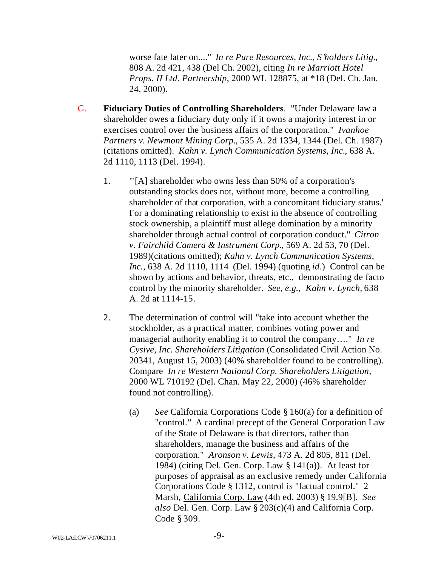worse fate later on...." *In re Pure Resources, Inc., S'holders Litig.*, 808 A. 2d 421, 438 (Del Ch. 2002), citing *In re Marriott Hotel Props. II Ltd. Partnership*, 2000 WL 128875, at \*18 (Del. Ch. Jan. 24, 2000).

- G. **Fiduciary Duties of Controlling Shareholders**. "Under Delaware law a shareholder owes a fiduciary duty only if it owns a majority interest in or exercises control over the business affairs of the corporation." *Ivanhoe Partners v. Newmont Mining Corp.*, 535 A. 2d 1334, 1344 (Del. Ch. 1987) (citations omitted). *Kahn v. Lynch Communication Systems, Inc.*, 638 A. 2d 1110, 1113 (Del. 1994).
	- 1. "'[A] shareholder who owns less than 50% of a corporation's outstanding stocks does not, without more, become a controlling shareholder of that corporation, with a concomitant fiduciary status.' For a dominating relationship to exist in the absence of controlling stock ownership, a plaintiff must allege domination by a minority shareholder through actual control of corporation conduct." *Citron v. Fairchild Camera & Instrument Corp.*, 569 A. 2d 53, 70 (Del. 1989)(citations omitted); *Kahn v. Lynch Communication Systems, Inc.*, 638 A. 2d 1110, 1114 (Del. 1994) (quoting *id*.) Control can be shown by actions and behavior, threats, etc., demonstrating de facto control by the minority shareholder. *See, e.g., Kahn v. Lynch,* 638 A. 2d at 1114-15.
	- 2. The determination of control will "take into account whether the stockholder, as a practical matter, combines voting power and managerial authority enabling it to control the company…." *In re Cysive, Inc. Shareholders Litigation* (Consolidated Civil Action No. 20341, August 15, 2003) (40% shareholder found to be controlling). Compare *In re Western National Corp. Shareholders Litigation*, 2000 WL 710192 (Del. Chan. May 22, 2000) (46% shareholder found not controlling).
		- (a) *See* California Corporations Code § 160(a) for a definition of "control." A cardinal precept of the General Corporation Law of the State of Delaware is that directors, rather than shareholders, manage the business and affairs of the corporation." *Aronson v. Lewis*, 473 A. 2d 805, 811 (Del. 1984) (citing Del. Gen. Corp. Law § 141(a)). At least for purposes of appraisal as an exclusive remedy under California Corporations Code § 1312, control is "factual control." 2 Marsh, California Corp. Law (4th ed. 2003) § 19.9[B]. *See also* Del. Gen. Corp. Law § 203(c)(4) and California Corp. Code § 309.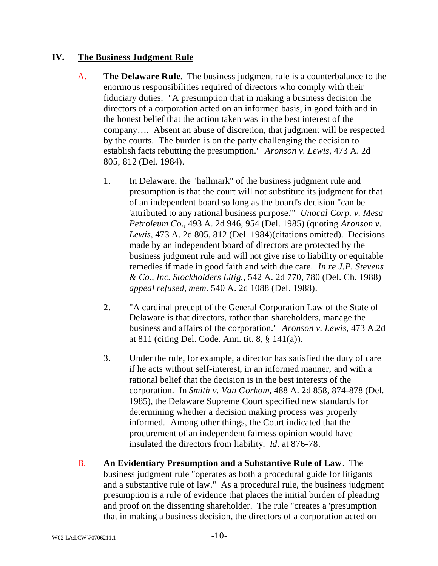### **IV. The Business Judgment Rule**

- A. **The Delaware Rule**. The business judgment rule is a counterbalance to the enormous responsibilities required of directors who comply with their fiduciary duties. "A presumption that in making a business decision the directors of a corporation acted on an informed basis, in good faith and in the honest belief that the action taken was in the best interest of the company…. Absent an abuse of discretion, that judgment will be respected by the courts. The burden is on the party challenging the decision to establish facts rebutting the presumption." *Aronson v. Lewis*, 473 A. 2d 805, 812 (Del. 1984).
	- 1. In Delaware, the "hallmark" of the business judgment rule and presumption is that the court will not substitute its judgment for that of an independent board so long as the board's decision "can be 'attributed to any rational business purpose.'" *Unocal Corp. v. Mesa Petroleum Co.*, 493 A. 2d 946, 954 (Del. 1985) (quoting *Aronson v. Lewis*, 473 A. 2d 805, 812 (Del. 1984)(citations omitted). Decisions made by an independent board of directors are protected by the business judgment rule and will not give rise to liability or equitable remedies if made in good faith and with due care. *In re J.P. Stevens & Co., Inc. Stockholders Litig.,* 542 A. 2d 770, 780 (Del. Ch. 1988) *appeal refused, mem.* 540 A. 2d 1088 (Del. 1988).
	- 2. "A cardinal precept of the General Corporation Law of the State of Delaware is that directors, rather than shareholders, manage the business and affairs of the corporation." *Aronson v. Lewis*, 473 A.2d at 811 (citing Del. Code. Ann. tit. 8, § 141(a)).
	- 3. Under the rule, for example, a director has satisfied the duty of care if he acts without self-interest, in an informed manner, and with a rational belief that the decision is in the best interests of the corporation. In *Smith v. Van Gorkom*, 488 A. 2d 858, 874-878 (Del. 1985), the Delaware Supreme Court specified new standards for determining whether a decision making process was properly informed. Among other things, the Court indicated that the procurement of an independent fairness opinion would have insulated the directors from liability. *Id*. at 876-78.
- B. **An Evidentiary Presumption and a Substantive Rule of Law**. The business judgment rule "operates as both a procedural guide for litigants and a substantive rule of law." As a procedural rule, the business judgment presumption is a rule of evidence that places the initial burden of pleading and proof on the dissenting shareholder. The rule "creates a 'presumption that in making a business decision, the directors of a corporation acted on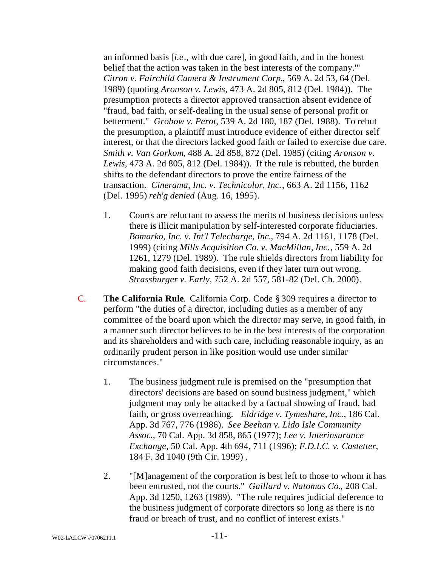an informed basis [*i.e*., with due care], in good faith, and in the honest belief that the action was taken in the best interests of the company.'" *Citron v. Fairchild Camera & Instrument Corp.*, 569 A. 2d 53, 64 (Del. 1989) (quoting *Aronson v. Lewis*, 473 A. 2d 805, 812 (Del. 1984)). The presumption protects a director approved transaction absent evidence of "fraud, bad faith, or self-dealing in the usual sense of personal profit or betterment." *Grobow v. Perot*, 539 A. 2d 180, 187 (Del. 1988). To rebut the presumption, a plaintiff must introduce evidence of either director self interest, or that the directors lacked good faith or failed to exercise due care. *Smith v. Van Gorkom*, 488 A. 2d 858, 872 (Del. 1985) (citing *Aronson v. Lewis*, 473 A. 2d 805, 812 (Del. 1984)). If the rule is rebutted, the burden shifts to the defendant directors to prove the entire fairness of the transaction. *Cinerama, Inc. v. Technicolor, Inc.*, 663 A. 2d 1156, 1162 (Del. 1995) *reh'g denied* (Aug. 16, 1995).

- 1. Courts are reluctant to assess the merits of business decisions unless there is illicit manipulation by self-interested corporate fiduciaries. *Bomarko, Inc. v. Int'l Telecharge, Inc.*, 794 A. 2d 1161, 1178 (Del. 1999) (citing *Mills Acquisition Co. v. MacMillan, Inc.*, 559 A. 2d 1261, 1279 (Del. 1989). The rule shields directors from liability for making good faith decisions, even if they later turn out wrong. *Strassburger v. Early*, 752 A. 2d 557, 581-82 (Del. Ch. 2000).
- C. **The California Rule**. California Corp. Code § 309 requires a director to perform "the duties of a director, including duties as a member of any committee of the board upon which the director may serve, in good faith, in a manner such director believes to be in the best interests of the corporation and its shareholders and with such care, including reasonable inquiry, as an ordinarily prudent person in like position would use under similar circumstances."
	- 1. The business judgment rule is premised on the "presumption that directors' decisions are based on sound business judgment," which judgment may only be attacked by a factual showing of fraud, bad faith, or gross overreaching. *Eldridge v. Tymeshare, Inc.*, 186 Cal. App. 3d 767, 776 (1986). *See Beehan v. Lido Isle Community Assoc.*, 70 Cal. App. 3d 858, 865 (1977); *Lee v. Interinsurance Exchange*, 50 Cal. App. 4th 694, 711 (1996); *F.D.I.C. v. Castetter*, 184 F. 3d 1040 (9th Cir. 1999) .
	- 2. "[M]anagement of the corporation is best left to those to whom it has been entrusted, not the courts." *Gaillard v. Natomas Co.*, 208 Cal. App. 3d 1250, 1263 (1989). "The rule requires judicial deference to the business judgment of corporate directors so long as there is no fraud or breach of trust, and no conflict of interest exists."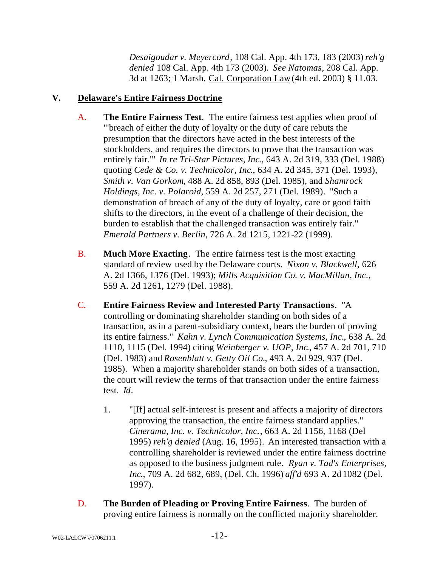*Desaigoudar v. Meyercord*, 108 Cal. App. 4th 173, 183 (2003) *reh'g denied* 108 Cal. App. 4th 173 (2003). *See Natomas*, 208 Cal. App. 3d at 1263; 1 Marsh, Cal. Corporation Law (4th ed. 2003) § 11.03.

# **V. Delaware's Entire Fairness Doctrine**

- A. **The Entire Fairness Test**. The entire fairness test applies when proof of "'breach of either the duty of loyalty or the duty of care rebuts the presumption that the directors have acted in the best interests of the stockholders, and requires the directors to prove that the transaction was entirely fair.'" *In re Tri-Star Pictures, Inc*., 643 A. 2d 319, 333 (Del. 1988) quoting *Cede & Co. v. Technicolor, Inc*., 634 A. 2d 345, 371 (Del. 1993), *Smith v. Van Gorkom*, 488 A. 2d 858, 893 (Del. 1985), and *Shamrock Holdings, Inc. v. Polaroid*, 559 A. 2d 257, 271 (Del. 1989). "Such a demonstration of breach of any of the duty of loyalty, care or good faith shifts to the directors, in the event of a challenge of their decision, the burden to establish that the challenged transaction was entirely fair." *Emerald Partners v. Berlin*, 726 A. 2d 1215, 1221-22 (1999).
- B. **Much More Exacting**. The entire fairness test is the most exacting standard of review used by the Delaware courts. *Nixon v. Blackwell*, 626 A. 2d 1366, 1376 (Del. 1993); *Mills Acquisition Co. v. MacMillan, Inc.*, 559 A. 2d 1261, 1279 (Del. 1988).
- C. **Entire Fairness Review and Interested Party Transactions**. "A controlling or dominating shareholder standing on both sides of a transaction, as in a parent-subsidiary context, bears the burden of proving its entire fairness." *Kahn v. Lynch Communication Systems, Inc.*, 638 A. 2d 1110, 1115 (Del. 1994) citing *Weinberger v. UOP, Inc*., 457 A. 2d 701, 710 (Del. 1983) and *Rosenblatt v. Getty Oil Co.*, 493 A. 2d 929, 937 (Del. 1985). When a majority shareholder stands on both sides of a transaction, the court will review the terms of that transaction under the entire fairness test. *Id*.
	- 1. "[If] actual self-interest is present and affects a majority of directors approving the transaction, the entire fairness standard applies." *Cinerama, Inc. v. Technicolor, Inc.*, 663 A. 2d 1156, 1168 (Del 1995) *reh'g denied* (Aug. 16, 1995). An interested transaction with a controlling shareholder is reviewed under the entire fairness doctrine as opposed to the business judgment rule. *Ryan v. Tad's Enterprises, Inc*., 709 A. 2d 682, 689, (Del. Ch. 1996) *aff'd* 693 A. 2d 1082 (Del. 1997).
- D. **The Burden of Pleading or Proving Entire Fairness**. The burden of proving entire fairness is normally on the conflicted majority shareholder.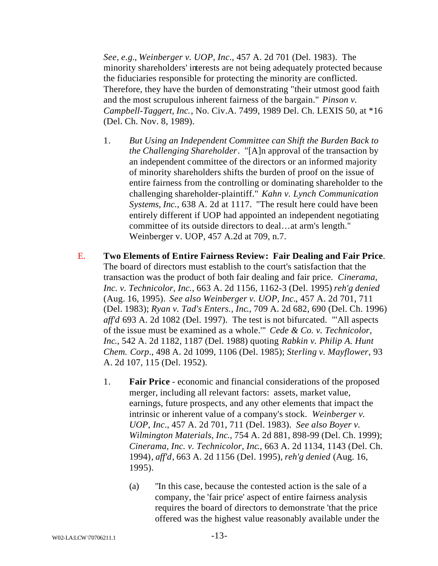*See, e.g.*, *Weinberger v. UOP, Inc*., 457 A. 2d 701 (Del. 1983). The minority shareholders' interests are not being adequately protected because the fiduciaries responsible for protecting the minority are conflicted. Therefore, they have the burden of demonstrating "their utmost good faith and the most scrupulous inherent fairness of the bargain." *Pinson v. Campbell-Taggert, Inc.*, No. Civ.A. 7499, 1989 Del. Ch. LEXIS 50, at \*16 (Del. Ch. Nov. 8, 1989).

- 1. *But Using an Independent Committee can Shift the Burden Back to the Challenging Shareholder*. "[A]n approval of the transaction by an independent committee of the directors or an informed majority of minority shareholders shifts the burden of proof on the issue of entire fairness from the controlling or dominating shareholder to the challenging shareholder-plaintiff." *Kahn v. Lynch Communication Systems, Inc.*, 638 A. 2d at 1117. "The result here could have been entirely different if UOP had appointed an independent negotiating committee of its outside directors to deal…at arm's length." Weinberger v. UOP, 457 A.2d at 709, n.7.
- E. **Two Elements of Entire Fairness Review: Fair Dealing and Fair Price**. The board of directors must establish to the court's satisfaction that the transaction was the product of both fair dealing and fair price. *Cinerama, Inc. v. Technicolor, Inc.*, 663 A. 2d 1156, 1162-3 (Del. 1995) *reh'g denied* (Aug. 16, 1995). *See also Weinberger v. UOP, Inc.*, 457 A. 2d 701, 711 (Del. 1983); *Ryan v. Tad's Enters., Inc*., 709 A. 2d 682, 690 (Del. Ch. 1996) *aff'd* 693 A. 2d 1082 (Del. 1997). The test is not bifurcated. "'All aspects of the issue must be examined as a whole.'" *Cede & Co. v. Technicolor, Inc*., 542 A. 2d 1182, 1187 (Del. 1988) quoting *Rabkin v. Philip A. Hunt Chem. Corp*., 498 A. 2d 1099, 1106 (Del. 1985); *Sterling v. Mayflower*, 93 A. 2d 107, 115 (Del. 1952).
	- 1. **Fair Price** economic and financial considerations of the proposed merger, including all relevant factors: assets, market value, earnings, future prospects, and any other elements that impact the intrinsic or inherent value of a company's stock. *Weinberger v. UOP, Inc*., 457 A. 2d 701, 711 (Del. 1983). *See also Boyer v. Wilmington Materials, Inc*., 754 A. 2d 881, 898-99 (Del. Ch. 1999); *Cinerama, Inc. v. Technicolor, Inc*., 663 A. 2d 1134, 1143 (Del. Ch. 1994), *aff'd,* 663 A. 2d 1156 (Del. 1995), *reh'g denied* (Aug. 16, 1995).
		- (a) "In this case, because the contested action is the sale of a company, the 'fair price' aspect of entire fairness analysis requires the board of directors to demonstrate 'that the price offered was the highest value reasonably available under the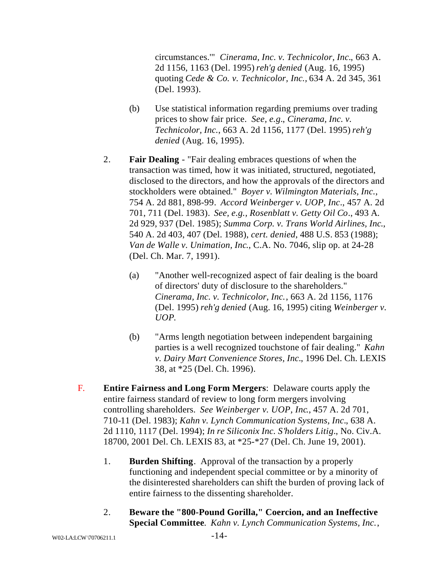circumstances.'" *Cinerama, Inc. v. Technicolor, Inc.*, 663 A. 2d 1156, 1163 (Del. 1995) *reh'g denied* (Aug. 16, 1995) quoting *Cede & Co. v. Technicolor, Inc.,* 634 A. 2d 345, 361 (Del. 1993).

- (b) Use statistical information regarding premiums over trading prices to show fair price. *See, e.g.*, *Cinerama, Inc. v. Technicolor, Inc.*, 663 A. 2d 1156, 1177 (Del. 1995) *reh'g denied* (Aug. 16, 1995).
- 2. **Fair Dealing** "Fair dealing embraces questions of when the transaction was timed, how it was initiated, structured, negotiated, disclosed to the directors, and how the approvals of the directors and stockholders were obtained." *Boyer v. Wilmington Materials, Inc.*, 754 A. 2d 881, 898-99. *Accord Weinberger v. UOP, Inc*., 457 A. 2d 701, 711 (Del. 1983). *See, e.g., Rosenblatt v. Getty Oil Co*., 493 A. 2d 929, 937 (Del. 1985); *Summa Corp. v. Trans World Airlines, Inc*., 540 A. 2d 403, 407 (Del. 1988), *cert. denied*, 488 U.S. 853 (1988); *Van de Walle v. Unimation, Inc*., C.A. No. 7046, slip op. at 24-28 (Del. Ch. Mar. 7, 1991).
	- (a) "Another well-recognized aspect of fair dealing is the board of directors' duty of disclosure to the shareholders." *Cinerama, Inc. v. Technicolor, Inc.*, 663 A. 2d 1156, 1176 (Del. 1995) *reh'g denied* (Aug. 16, 1995) citing *Weinberger v. UOP*.
	- (b) "Arms length negotiation between independent bargaining parties is a well recognized touchstone of fair dealing." *Kahn v. Dairy Mart Convenience Stores, Inc.*, 1996 Del. Ch. LEXIS 38, at \*25 (Del. Ch. 1996).
- F. **Entire Fairness and Long Form Mergers**: Delaware courts apply the entire fairness standard of review to long form mergers involving controlling shareholders. *See Weinberger v. UOP, Inc*., 457 A. 2d 701, 710-11 (Del. 1983); *Kahn v. Lynch Communication Systems, Inc.*, 638 A. 2d 1110, 1117 (Del. 1994); *In re Siliconix Inc. S'holders Litig.*, No. Civ.A. 18700, 2001 Del. Ch. LEXIS 83, at \*25-\*27 (Del. Ch. June 19, 2001).
	- 1. **Burden Shifting**. Approval of the transaction by a properly functioning and independent special committee or by a minority of the disinterested shareholders can shift the burden of proving lack of entire fairness to the dissenting shareholder.
	- 2. **Beware the "800-Pound Gorilla," Coercion, and an Ineffective Special Committee***. Kahn v. Lynch Communication Systems, Inc.*,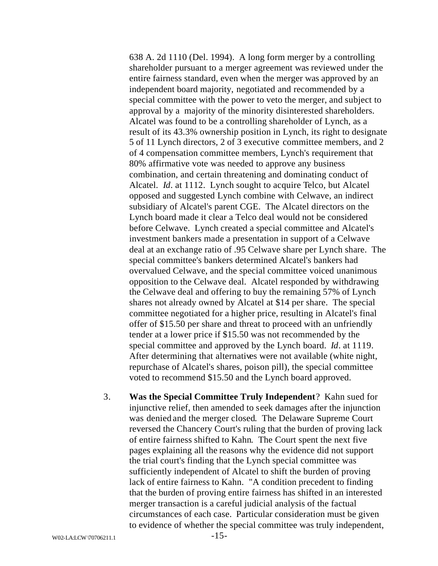638 A. 2d 1110 (Del. 1994). A long form merger by a controlling shareholder pursuant to a merger agreement was reviewed under the entire fairness standard, even when the merger was approved by an independent board majority, negotiated and recommended by a special committee with the power to veto the merger, and subject to approval by a majority of the minority disinterested shareholders. Alcatel was found to be a controlling shareholder of Lynch, as a result of its 43.3% ownership position in Lynch, its right to designate 5 of 11 Lynch directors, 2 of 3 executive committee members, and 2 of 4 compensation committee members, Lynch's requirement that 80% affirmative vote was needed to approve any business combination, and certain threatening and dominating conduct of Alcatel. *Id*. at 1112. Lynch sought to acquire Telco, but Alcatel opposed and suggested Lynch combine with Celwave, an indirect subsidiary of Alcatel's parent CGE. The Alcatel directors on the Lynch board made it clear a Telco deal would not be considered before Celwave. Lynch created a special committee and Alcatel's investment bankers made a presentation in support of a Celwave deal at an exchange ratio of .95 Celwave share per Lynch share. The special committee's bankers determined Alcatel's bankers had overvalued Celwave, and the special committee voiced unanimous opposition to the Celwave deal. Alcatel responded by withdrawing the Celwave deal and offering to buy the remaining 57% of Lynch shares not already owned by Alcatel at \$14 per share. The special committee negotiated for a higher price, resulting in Alcatel's final offer of \$15.50 per share and threat to proceed with an unfriendly tender at a lower price if \$15.50 was not recommended by the special committee and approved by the Lynch board. *Id*. at 1119. After determining that alternatives were not available (white night, repurchase of Alcatel's shares, poison pill), the special committee voted to recommend \$15.50 and the Lynch board approved.

3. **Was the Special Committee Truly Independent**? Kahn sued for injunctive relief, then amended to seek damages after the injunction was denied and the merger closed. The Delaware Supreme Court reversed the Chancery Court's ruling that the burden of proving lack of entire fairness shifted to Kahn. The Court spent the next five pages explaining all the reasons why the evidence did not support the trial court's finding that the Lynch special committee was sufficiently independent of Alcatel to shift the burden of proving lack of entire fairness to Kahn. "A condition precedent to finding that the burden of proving entire fairness has shifted in an interested merger transaction is a careful judicial analysis of the factual circumstances of each case. Particular consideration must be given to evidence of whether the special committee was truly independent,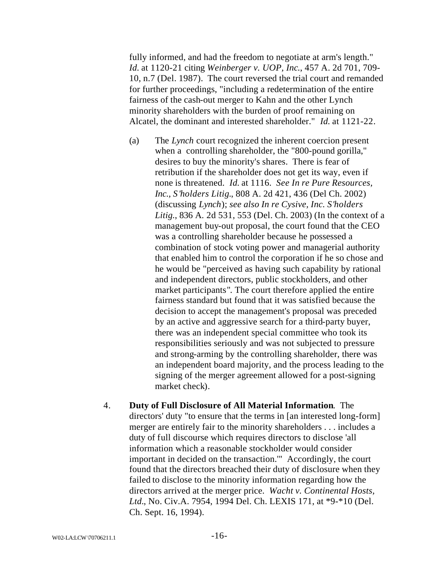fully informed, and had the freedom to negotiate at arm's length." *Id.* at 1120-21 citing *Weinberger v. UOP, Inc*., 457 A. 2d 701, 709- 10, n.7 (Del. 1987). The court reversed the trial court and remanded for further proceedings, "including a redetermination of the entire fairness of the cash-out merger to Kahn and the other Lynch minority shareholders with the burden of proof remaining on Alcatel, the dominant and interested shareholder." *Id.* at 1121-22.

- (a) The *Lynch* court recognized the inherent coercion present when a controlling shareholder, the "800-pound gorilla," desires to buy the minority's shares. There is fear of retribution if the shareholder does not get its way, even if none is threatened. *Id.* at 1116. *See In re Pure Resources, Inc., S'holders Litig.*, 808 A. 2d 421, 436 (Del Ch. 2002) (discussing *Lynch*); *see also In re Cysive, Inc. S'holders Litig.*, 836 A. 2d 531, 553 (Del. Ch. 2003) (In the context of a management buy-out proposal, the court found that the CEO was a controlling shareholder because he possessed a combination of stock voting power and managerial authority that enabled him to control the corporation if he so chose and he would be "perceived as having such capability by rational and independent directors, public stockholders, and other market participants". The court therefore applied the entire fairness standard but found that it was satisfied because the decision to accept the management's proposal was preceded by an active and aggressive search for a third-party buyer, there was an independent special committee who took its responsibilities seriously and was not subjected to pressure and strong-arming by the controlling shareholder, there was an independent board majority, and the process leading to the signing of the merger agreement allowed for a post-signing market check).
- 4. **Duty of Full Disclosure of All Material Information**. The directors' duty "to ensure that the terms in [an interested long-form] merger are entirely fair to the minority shareholders . . . includes a duty of full discourse which requires directors to disclose 'all information which a reasonable stockholder would consider important in decided on the transaction.'" Accordingly, the court found that the directors breached their duty of disclosure when they failed to disclose to the minority information regarding how the directors arrived at the merger price. *Wacht v. Continental Hosts, Ltd.*, No. Civ.A. 7954, 1994 Del. Ch. LEXIS 171, at \*9-\*10 (Del. Ch. Sept. 16, 1994).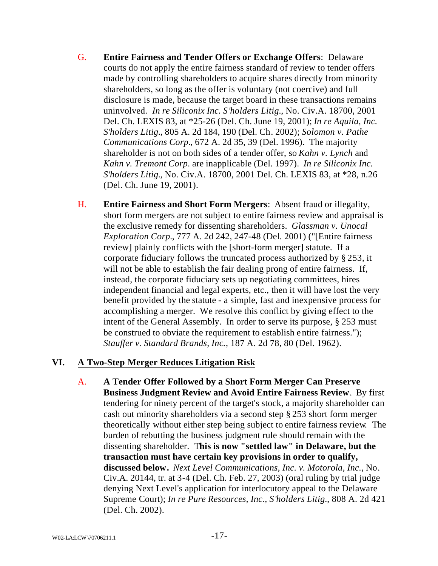- G. **Entire Fairness and Tender Offers or Exchange Offers**: Delaware courts do not apply the entire fairness standard of review to tender offers made by controlling shareholders to acquire shares directly from minority shareholders, so long as the offer is voluntary (not coercive) and full disclosure is made, because the target board in these transactions remains uninvolved. *In re Siliconix Inc. S'holders Litig.*, No. Civ.A. 18700, 2001 Del. Ch. LEXIS 83, at \*25-26 (Del. Ch. June 19, 2001); *In re Aquila, Inc. S'holders Litig.*, 805 A. 2d 184, 190 (Del. Ch. 2002); *Solomon v. Pathe Communications Corp.*, 672 A. 2d 35, 39 (Del. 1996). The majority shareholder is not on both sides of a tender offer, so *Kahn v. Lynch* and *Kahn v. Tremont Corp*. are inapplicable (Del. 1997). *In re Siliconix Inc. S'holders Litig.*, No. Civ.A. 18700, 2001 Del. Ch. LEXIS 83, at \*28, n.26 (Del. Ch. June 19, 2001).
- H. **Entire Fairness and Short Form Mergers**: Absent fraud or illegality, short form mergers are not subject to entire fairness review and appraisal is the exclusive remedy for dissenting shareholders. *Glassman v. Unocal Exploration Corp.*, 777 A. 2d 242, 247-48 (Del. 2001) ("[Entire fairness review] plainly conflicts with the [short-form merger] statute. If a corporate fiduciary follows the truncated process authorized by § 253, it will not be able to establish the fair dealing prong of entire fairness. If, instead, the corporate fiduciary sets up negotiating committees, hires independent financial and legal experts, etc., then it will have lost the very benefit provided by the statute - a simple, fast and inexpensive process for accomplishing a merger. We resolve this conflict by giving effect to the intent of the General Assembly. In order to serve its purpose, § 253 must be construed to obviate the requirement to establish e ntire fairness."); *Stauffer v. Standard Brands, Inc.*, 187 A. 2d 78, 80 (Del. 1962).

# **VI. A Two-Step Merger Reduces Litigation Risk**

A. **A Tender Offer Followed by a Short Form Merger Can Preserve Business Judgment Review and Avoid Entire Fairness Review**. By first tendering for ninety percent of the target's stock, a majority shareholder can cash out minority shareholders via a second step § 253 short form merger theoretically without either step being subject to entire fairness review. The burden of rebutting the business judgment rule should remain with the dissenting shareholder. T**his is now "settled law" in Delaware, but the transaction must have certain key provisions in order to qualify, discussed below.** *Next Level Communications, Inc. v. Motorola, Inc.*, No. Civ.A. 20144, tr. at 3-4 (Del. Ch. Feb. 27, 2003) (oral ruling by trial judge denying Next Level's application for interlocutory appeal to the Delaware Supreme Court); *In re Pure Resources, Inc., S'holders Litig.*, 808 A. 2d 421 (Del. Ch. 2002).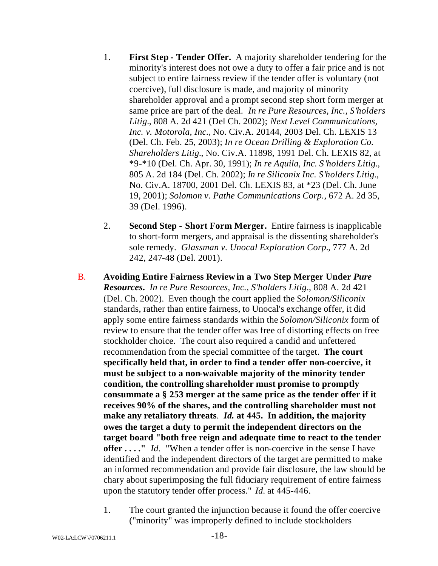- 1. **First Step Tender Offer.** A majority shareholder tendering for the minority's interest does not owe a duty to offer a fair price and is not subject to entire fairness review if the tender offer is voluntary (not coercive), full disclosure is made, and majority of minority shareholder approval and a prompt second step short form merger at same price are part of the deal. *In re Pure Resources, Inc., S'holders Litig.*, 808 A. 2d 421 (Del Ch. 2002); *Next Level Communications, Inc. v. Motorola, Inc.,* No. Civ.A. 20144, 2003 Del. Ch. LEXIS 13 (Del. Ch. Feb. 25, 2003); *In re Ocean Drilling & Exploration Co. Shareholders Litig.*, No. Civ.A. 11898, 1991 Del. Ch. LEXIS 82, at \*9-\*10 (Del. Ch. Apr. 30, 1991); *In re Aquila, Inc. S'holders Litig.*, 805 A. 2d 184 (Del. Ch. 2002); *In re Siliconix Inc. S'holders Litig.*, No. Civ.A. 18700, 2001 Del. Ch. LEXIS 83, at \*23 (Del. Ch. June 19, 2001); *Solomon v. Pathe Communications Corp.,* 672 A. 2d 35, 39 (Del. 1996).
- 2. **Second Step Short Form Merger.** Entire fairness is inapplicable to short-form mergers, and appraisal is the dissenting shareholder's sole remedy. *Glassman v. Unocal Exploration Corp.*, 777 A. 2d 242, 247-48 (Del. 2001).
- B. **Avoiding Entire Fairness Review in a Two Step Merger Under** *Pure Resources***.** *In re Pure Resources, Inc., S'holders Litig.*, 808 A. 2d 421 (Del. Ch. 2002). Even though the court applied the *Solomon/Siliconix* standards, rather than entire fairness, to Unocal's exchange offer, it did apply some entire fairness standards within the *Solomon/Siliconix* form of review to ensure that the tender offer was free of distorting effects on free stockholder choice. The court also required a candid and unfettered recommendation from the special committee of the target. **The court specifically held that, in order to find a tender offer non-coercive, it must be subject to a non-waivable majority of the minority tender condition, the controlling shareholder must promise to promptly consummate a § 253 merger at the same price as the tender offer if it receives 90% of the shares, and the controlling shareholder must not make any retaliatory threats**.*Id.* **at 445. In addition, the majority owes the target a duty to permit the independent directors on the target board "both free reign and adequate time to react to the tender offer . . . ."** *Id.*"When a tender offer is non-coercive in the sense I have identified and the independent directors of the target are permitted to make an informed recommendation and provide fair disclosure, the law should be chary about superimposing the full fiduciary requirement of entire fairness upon the statutory tender offer process." *Id.* at 445-446.
	- 1. The court granted the injunction because it found the offer coercive ("minority" was improperly defined to include stockholders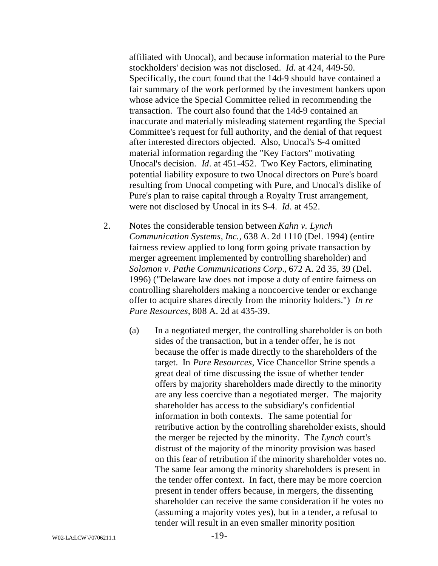affiliated with Unocal), and because information material to the Pure stockholders' decision was not disclosed. *Id.* at 424, 449-50. Specifically, the court found that the 14d-9 should have contained a fair summary of the work performed by the investment bankers upon whose advice the Special Committee relied in recommending the transaction. The court also found that the 14d-9 contained an inaccurate and materially misleading statement regarding the Special Committee's request for full authority, and the denial of that request after interested directors objected. Also, Unocal's S-4 omitted material information regarding the "Key Factors" motivating Unocal's decision. *Id*. at 451-452. Two Key Factors, eliminating potential liability exposure to two Unocal directors on Pure's board resulting from Unocal competing with Pure, and Unocal's dislike of Pure's plan to raise capital through a Royalty Trust arrangement, were not disclosed by Unocal in its S-4. *Id*. at 452.

- 2. Notes the considerable tension between *Kahn v. Lynch Communication Systems, Inc.*, 638 A. 2d 1110 (Del. 1994) (entire fairness review applied to long form going private transaction by merger agreement implemented by controlling shareholder) and *Solomon v. Pathe Communications Corp.*, 672 A. 2d 35, 39 (Del. 1996) ("Delaware law does not impose a duty of entire fairness on controlling shareholders making a noncoercive tender or exchange offer to acquire shares directly from the minority holders.") *In re Pure Resources,* 808 A. 2d at 435-39.
	- (a) In a negotiated merger, the controlling shareholder is on both sides of the transaction, but in a tender offer, he is not because the offer is made directly to the shareholders of the target. In *Pure Resources*, Vice Chancellor Strine spends a great deal of time discussing the issue of whether tender offers by majority shareholders made directly to the minority are any less coercive than a negotiated merger. The majority shareholder has access to the subsidiary's confidential information in both contexts. The same potential for retributive action by the controlling shareholder exists, should the merger be rejected by the minority. The *Lynch* court's distrust of the majority of the minority provision was based on this fear of retribution if the minority shareholder votes no. The same fear among the minority shareholders is present in the tender offer context. In fact, there may be more coercion present in tender offers because, in mergers, the dissenting shareholder can receive the same consideration if he votes no (assuming a majority votes yes), but in a tender, a refusal to tender will result in an even smaller minority position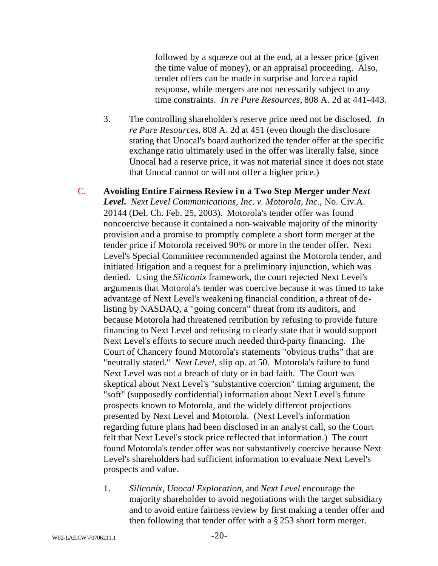followed by a squeeze out at the end, at a lesser price (given the time value of money), or an appraisal proceeding. Also, tender offers can be made in surprise and force a rapid response, while mergers are not necessarily subject to any time constraints. *In re Pure Resources,* 808 A. 2d at 441-443.

3. The controlling shareholder's reserve price need not be disclosed. *In re Pure Resources,* 808 A. 2d at 451 (even though the disclosure stating that Unocal's board authorized the tender offer at the specific exchange ratio ultimately used in the offer was literally false, since Unocal had a reserve price, it was not material since it does not state that Unocal cannot or will not offer a higher price.)

C. **Avoiding Entire Fairness Review i n a Two Step Merger under** *Next Level***.** *Next Level Communications, Inc. v. Motorola, Inc.*, No. Civ.A. 20144 (Del. Ch. Feb. 25, 2003). Motorola's tender offer was found noncoercive because it contained a non-waivable majority of the minority provision and a promise to promptly complete a short form merger at the tender price if Motorola received 90% or more in the tender offer. Next Level's Special Committee recommended against the Motorola tender, and initiated litigation and a request for a preliminary injunction, which was denied. Using the *Siliconix* framework, the court rejected Next Level's arguments that Motorola's tender was coercive because it was timed to take advantage of Next Level's weakening financial condition, a threat of delisting by NASDAQ, a "going concern" threat from its auditors, and because Motorola had threatened retribution by refusing to provide future financing to Next Level and refusing to clearly state that it would support Next Level's efforts to secure much needed third-party financing. The Court of Chancery found Motorola's statements "obvious truths" that are "neutrally stated." *Next Level*, slip op. at 50. Motorola's failure to fund Next Level was not a breach of duty or in bad faith. The Court was skeptical about Next Level's "substantive coercion" timing argument, the "soft" (supposedly confidential) information about Next Level's future prospects known to Motorola, and the widely different projections presented by Next Level and Motorola. (Next Level's information regarding future plans had been disclosed in an analyst call, so the Court felt that Next Level's stock price reflected that information.) The court found Motorola's tender offer was not substantively coercive because Next Level's shareholders had sufficient information to evaluate Next Level's prospects and value.

1. *Siliconix, Unocal Exploration,* and *Next Level* encourage the majority shareholder to avoid negotiations with the target subsidiary and to avoid entire fairness review by first making a tender offer and then following that tender offer with a § 253 short form merger.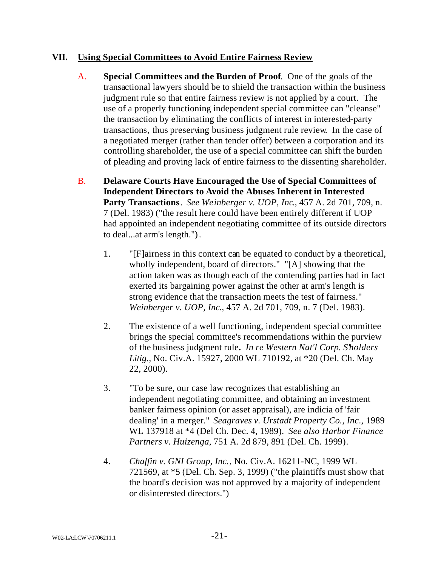### **VII. Using Special Committees to Avoid Entire Fairness Review**

- A. **Special Committees and the Burden of Proof**. One of the goals of the transactional lawyers should be to shield the transaction within the business judgment rule so that entire fairness review is not applied by a court. The use of a properly functioning independent special committee can "cleanse" the transaction by eliminating the conflicts of interest in interested-party transactions, thus preserving business judgment rule review. In the case of a negotiated merger (rather than tender offer) between a corporation and its controlling shareholder, the use of a special committee can shift the burden of pleading and proving lack of entire fairness to the dissenting shareholder.
- B. **Delaware Courts Have Encouraged the Use of Special Committees of Independent Directors to Avoid the Abuses Inherent in Interested Party Transactions**. *See Weinberger v. UOP, Inc*., 457 A. 2d 701, 709, n. 7 (Del. 1983) ("the result here could have been entirely different if UOP had appointed an independent negotiating committee of its outside directors to deal...at arm's length.").
	- 1. "[F]airness in this context can be equated to conduct by a theoretical, wholly independent, board of directors." "[A] showing that the action taken was as though each of the contending parties had in fact exerted its bargaining power against the other at arm's length is strong evidence that the transaction meets the test of fairness." *Weinberger v. UOP, Inc*., 457 A. 2d 701, 709, n. 7 (Del. 1983).
	- 2. The existence of a well functioning, independent special committee brings the special committee's recommendations within the purview of the business judgment rule**.** *In re Western Nat'l Corp. S'holders Litig.,* No. Civ.A. 15927, 2000 WL 710192, at \*20 (Del. Ch. May 22, 2000).
	- 3. "To be sure, our case law recognizes that establishing an independent negotiating committee, and obtaining an investment banker fairness opinion (or asset appraisal), are indicia of 'fair dealing' in a merger." *Seagraves v. Urstadt Property Co., Inc*., 1989 WL 137918 at \*4 (Del Ch. Dec. 4, 1989). *See also Harbor Finance Partners v. Huizenga*, 751 A. 2d 879, 891 (Del. Ch. 1999).
	- 4. *Chaffin v. GNI Group, Inc.*, No. Civ.A. 16211-NC, 1999 WL 721569, at \*5 (Del. Ch. Sep. 3, 1999) ("the plaintiffs must show that the board's decision was not approved by a majority of independent or disinterested directors.")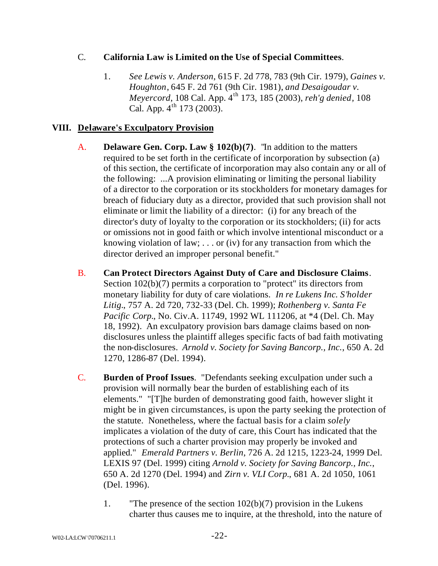# C. **California Law is Limited on the Use of Special Committees**.

1. *See Lewis v. Anderson*, 615 F. 2d 778, 783 (9th Cir. 1979), *Gaines v. Houghton*, 645 F. 2d 761 (9th Cir. 1981), *and Desaigoudar v. Meyercord*, 108 Cal. App. 4<sup>th</sup> 173, 185 (2003), *reh'g denied*, 108 Cal. App.  $4^{th}$  173 (2003).

# **VIII. Delaware's Exculpatory Provision**

- A. **Delaware Gen. Corp. Law § 102(b)(7)**. "In addition to the matters required to be set forth in the certificate of incorporation by subsection (a) of this section, the certificate of incorporation may also contain any or all of the following: ...A provision eliminating or limiting the personal liability of a director to the corporation or its stockholders for monetary damages for breach of fiduciary duty as a director, provided that such provision shall not eliminate or limit the liability of a director: (i) for any breach of the director's duty of loyalty to the corporation or its stockholders; (ii) for acts or omissions not in good faith or which involve intentional misconduct or a knowing violation of law; . . . or (iv) for any transaction from which the director derived an improper personal benefit."
- B. **Can Protect Directors Against Duty of Care and Disclosure Claims**. Section 102(b)(7) permits a corporation to "protect" its directors from monetary liability for duty of care violations. *In re Lukens Inc. S'holder Litig.*, 757 A. 2d 720, 732-33 (Del. Ch. 1999); *Rothenberg v. Santa Fe Pacific Corp.*, No. Civ.A. 11749, 1992 WL 111206, at \*4 (Del. Ch. May 18, 1992). An exculpatory provision bars damage claims based on nondisclosures unless the plaintiff alleges specific facts of bad faith motivating the non-disclosures. *Arnold v. Society for Saving Bancorp., Inc.*, 650 A. 2d 1270, 1286-87 (Del. 1994).
- C. **Burden of Proof Issues**. "Defendants seeking exculpation under such a provision will normally bear the burden of establishing each of its elements." "[T]he burden of demonstrating good faith, however slight it might be in given circumstances, is upon the party seeking the protection of the statute. Nonetheless, where the factual basis for a claim *solely* implicates a violation of the duty of care, this Court has indicated that the protections of such a charter provision may properly be invoked and applied." *Emerald Partners v. Berlin*, 726 A. 2d 1215, 1223-24, 1999 Del. LEXIS 97 (Del. 1999) citing *Arnold v. Society for Saving Bancorp., Inc.*, 650 A. 2d 1270 (Del. 1994) and *Zirn v. VLI Corp.*, 681 A. 2d 1050, 1061 (Del. 1996).
	- 1. "The presence of the section 102(b)(7) provision in the Lukens charter thus causes me to inquire, at the threshold, into the nature of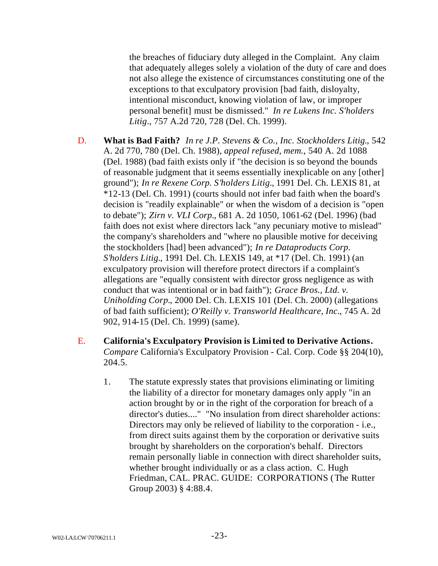the breaches of fiduciary duty alleged in the Complaint. Any claim that adequately alleges solely a violation of the duty of care and does not also allege the existence of circumstances constituting one of the exceptions to that exculpatory provision [bad faith, disloyalty, intentional misconduct, knowing violation of law, or improper personal benefit] must be dismissed." *In re Lukens Inc. S'holders Litig*., 757 A.2d 720, 728 (Del. Ch. 1999).

- D. **What is Bad Faith?** *In re J.P. Stevens & Co., Inc. Stockholders Litig.*, 542 A. 2d 770, 780 (Del. Ch. 1988), *appeal refused, mem.*, 540 A. 2d 1088 (Del. 1988) (bad faith exists only if "the decision is so beyond the bounds of reasonable judgment that it seems essentially inexplicable on any [other] ground"); *In re Rexene Corp. S'holders Litig.*, 1991 Del. Ch. LEXIS 81, at \*12-13 (Del. Ch. 1991) (courts should not infer bad faith when the board's decision is "readily explainable" or when the wisdom of a decision is "open to debate"); *Zirn v. VLI Corp.*, 681 A. 2d 1050, 1061-62 (Del. 1996) (bad faith does not exist where directors lack "any pecuniary motive to mislead" the company's shareholders and "where no plausible motive for deceiving the stockholders [had] been advanced"); *In re Dataproducts Corp. S'holders Litig.*, 1991 Del. Ch. LEXIS 149, at \*17 (Del. Ch. 1991) (an exculpatory provision will therefore protect directors if a complaint's allegations are "equally consistent with director gross negligence as with conduct that was intentional or in bad faith"); *Grace Bros., Ltd. v. Uniholding Corp.*, 2000 Del. Ch. LEXIS 101 (Del. Ch. 2000) (allegations of bad faith sufficient); *O'Reilly v. Transworld Healthcare, Inc.*, 745 A. 2d 902, 914-15 (Del. Ch. 1999) (same).
- E. **California's Exculpatory Provision is Limited to Derivative Actions.**  *Compare* California's Exculpatory Provision - Cal. Corp. Code §§ 204(10), 204.5.
	- 1. The statute expressly states that provisions eliminating or limiting the liability of a director for monetary damages only apply "in an action brought by or in the right of the corporation for breach of a director's duties...." "No insulation from direct shareholder actions: Directors may only be relieved of liability to the corporation - i.e., from direct suits against them by the corporation or derivative suits brought by shareholders on the corporation's behalf. Directors remain personally liable in connection with direct shareholder suits, whether brought individually or as a class action. C. Hugh Friedman, CAL. PRAC. GUIDE: CORPORATIONS (The Rutter Group 2003) § 4:88.4.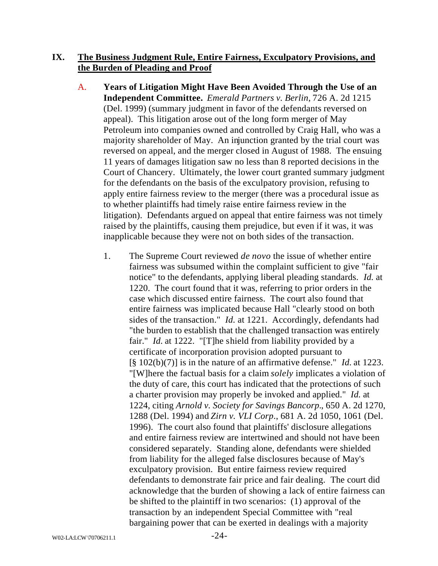### **IX. The Business Judgment Rule, Entire Fairness, Exculpatory Provisions, and the Burden of Pleading and Proof**

- A. **Years of Litigation Might Have Been Avoided Through the Use of an Independent Committee.** *Emerald Partners v. Berlin*, 726 A. 2d 1215 (Del. 1999) (summary judgment in favor of the defendants reversed on appeal). This litigation arose out of the long form merger of May Petroleum into companies owned and controlled by Craig Hall, who was a majority shareholder of May. An injunction granted by the trial court was reversed on appeal, and the merger closed in August of 1988. The ensuing 11 years of damages litigation saw no less than 8 reported decisions in the Court of Chancery. Ultimately, the lower court granted summary judgment for the defendants on the basis of the exculpatory provision, refusing to apply entire fairness review to the merger (there was a procedural issue as to whether plaintiffs had timely raise entire fairness review in the litigation). Defendants argued on appeal that entire fairness was not timely raised by the plaintiffs, causing them prejudice, but even if it was, it was inapplicable because they were not on both sides of the transaction.
	- 1. The Supreme Court reviewed *de novo* the issue of whether entire fairness was subsumed within the complaint sufficient to give "fair notice" to the defendants, applying liberal pleading standards. *Id.* at 1220. The court found that it was, referring to prior orders in the case which discussed entire fairness. The court also found that entire fairness was implicated because Hall "clearly stood on both sides of the transaction." *Id.* at 1221. Accordingly, defendants had "the burden to establish that the challenged transaction was entirely fair." *Id.* at 1222. "[T]he shield from liability provided by a certificate of incorporation provision adopted pursuant to [§ 102(b)(7)] is in the nature of an affirmative defense." *Id.* at 1223. "[W]here the factual basis for a claim *solely* implicates a violation of the duty of care, this court has indicated that the protections of such a charter provision may properly be invoked and applied." *Id.* at 1224, citing *Arnold v. Society for Savings Bancorp.*, 650 A. 2d 1270, 1288 (Del. 1994) and *Zirn v. VLI Corp*., 681 A. 2d 1050, 1061 (Del. 1996). The court also found that plaintiffs' disclosure allegations and entire fairness review are intertwined and should not have been considered separately. Standing alone, defendants were shielded from liability for the alleged false disclosures because of May's exculpatory provision. But entire fairness review required defendants to demonstrate fair price and fair dealing. The court did acknowledge that the burden of showing a lack of entire fairness can be shifted to the plaintiff in two scenarios: (1) approval of the transaction by an independent Special Committee with "real bargaining power that can be exerted in dealings with a majority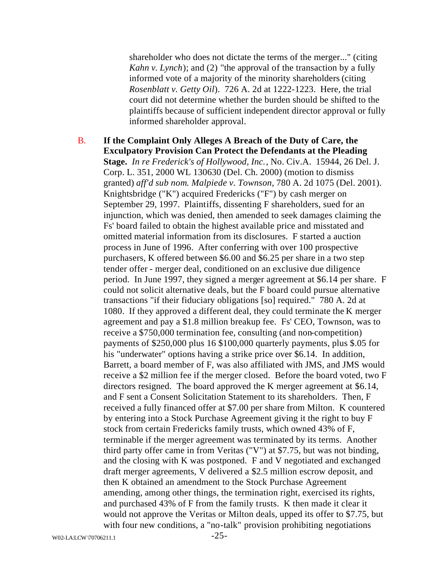shareholder who does not dictate the terms of the merger..." (citing *Kahn v. Lynch*); and (2) "the approval of the transaction by a fully informed vote of a majority of the minority shareholders (citing *Rosenblatt v. Getty Oil*). 726 A. 2d at 1222-1223. Here, the trial court did not determine whether the burden should be shifted to the plaintiffs because of sufficient independent director approval or fully informed shareholder approval.

B. **If the Complaint Only Alleges A Breach of the Duty of Care, the Exculpatory Provision Can Protect the Defendants at the Pleading Stage.** *In re Frederick's of Hollywood, Inc.*, No. Civ.A. 15944, 26 Del. J. Corp. L. 351, 2000 WL 130630 (Del. Ch. 2000) (motion to dismiss granted) *aff'd sub nom*. *Malpiede v. Townson*, 780 A. 2d 1075 (Del. 2001). Knightsbridge ("K") acquired Fredericks ("F") by cash merger on September 29, 1997. Plaintiffs, dissenting F shareholders, sued for an injunction, which was denied, then amended to seek damages claiming the Fs' board failed to obtain the highest available price and misstated and omitted material information from its disclosures. F started a auction process in June of 1996. After conferring with over 100 prospective purchasers, K offered between \$6.00 and \$6.25 per share in a two step tender offer - merger deal, conditioned on an exclusive due diligence period. In June 1997, they signed a merger agreement at \$6.14 per share. F could not solicit alternative deals, but the F board could pursue alternative transactions "if their fiduciary obligations [so] required." 780 A. 2d at 1080. If they approved a different deal, they could terminate the K merger agreement and pay a \$1.8 million breakup fee. Fs' CEO, Townson, was to receive a \$750,000 termination fee, consulting (and non-competition) payments of \$250,000 plus 16 \$100,000 quarterly payments, plus \$.05 for his "underwater" options having a strike price over \$6.14. In addition, Barrett, a board member of F, was also affiliated with JMS, and JMS would receive a \$2 million fee if the merger closed. Before the board voted, two F directors resigned. The board approved the K merger agreement at \$6.14, and F sent a Consent Solicitation Statement to its shareholders. Then, F received a fully financed offer at \$7.00 per share from Milton. K countered by entering into a Stock Purchase Agreement giving it the right to buy F stock from certain Fredericks family trusts, which owned 43% of F, terminable if the merger agreement was terminated by its terms. Another third party offer came in from Veritas ("V") at \$7.75, but was not binding, and the closing with K was postponed. F and V negotiated and exchanged draft merger agreements, V delivered a \$2.5 million escrow deposit, and then K obtained an amendment to the Stock Purchase Agreement amending, among other things, the termination right, exercised its rights, and purchased 43% of F from the family trusts. K then made it clear it would not approve the Veritas or Milton deals, upped its offer to \$7.75, but with four new conditions, a "no-talk" provision prohibiting negotiations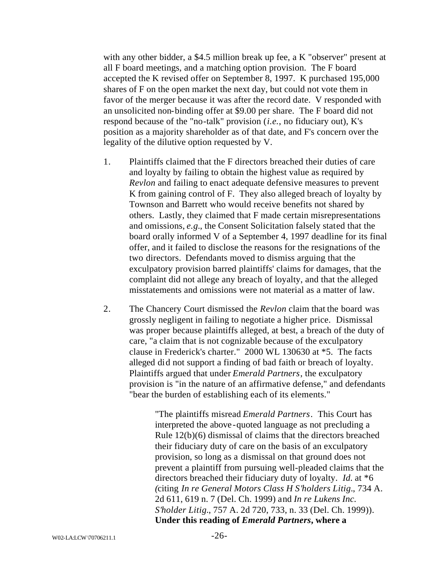with any other bidder, a \$4.5 million break up fee, a K "observer" present at all F board meetings, and a matching option provision. The F board accepted the K revised offer on September 8, 1997. K purchased 195,000 shares of F on the open market the next day, but could not vote them in favor of the merger because it was after the record date. V responded with an unsolicited non-binding offer at \$9.00 per share. The F board did not respond because of the "no-talk" provision (*i.e.*, no fiduciary out), K's position as a majority shareholder as of that date, and F's concern over the legality of the dilutive option requested by V.

- 1. Plaintiffs claimed that the F directors breached their duties of care and loyalty by failing to obtain the highest value as required by *Revlon* and failing to enact adequate defensive measures to prevent K from gaining control of F. They also alleged breach of loyalty by Townson and Barrett who would receive benefits not shared by others. Lastly, they claimed that F made certain misrepresentations and omissions, *e.g.*, the Consent Solicitation falsely stated that the board orally informed V of a September 4, 1997 deadline for its final offer, and it failed to disclose the reasons for the resignations of the two directors. Defendants moved to dismiss arguing that the exculpatory provision barred plaintiffs' claims for damages, that the complaint did not allege any breach of loyalty, and that the alleged misstatements and omissions were not material as a matter of law.
- 2. The Chancery Court dismissed the *Revlon* claim that the board was grossly negligent in failing to negotiate a higher price. Dismissal was proper because plaintiffs alleged, at best, a breach of the duty of care, "a claim that is not cognizable because of the exculpatory clause in Frederick's charter." 2000 WL 130630 at \*5. The facts alleged did not support a finding of bad faith or breach of loyalty. Plaintiffs argued that under *Emerald Partners*, the exculpatory provision is "in the nature of an affirmative defense," and defendants "bear the burden of establishing each of its elements."

"The plaintiffs misread *Emerald Partners*. This Court has interpreted the above -quoted language as not precluding a Rule 12(b)(6) dismissal of claims that the directors breached their fiduciary duty of care on the basis of an exculpatory provision, so long as a dismissal on that ground does not prevent a plaintiff from pursuing well-pleaded claims that the directors breached their fiduciary duty of loyalty. *Id.* at \*6 *(*citing *In re General Motors Class H S'holders Litig.*, 734 A. 2d 611, 619 n. 7 (Del. Ch. 1999) and *In re Lukens Inc. S'holder Litig.*, 757 A. 2d 720, 733, n. 33 (Del. Ch. 1999)). **Under this reading of** *Emerald Partners***, where a**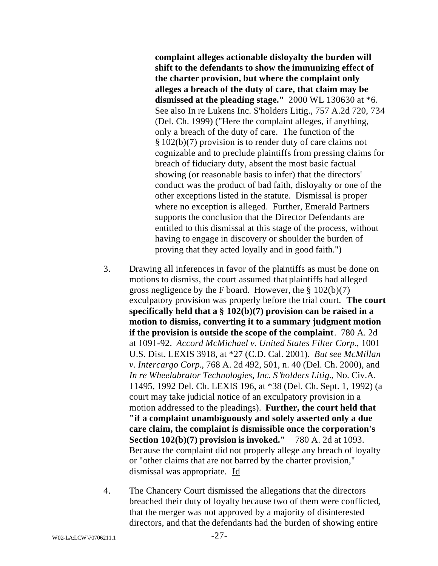**complaint alleges actionable disloyalty the burden will shift to the defendants to show the immunizing effect of the charter provision, but where the complaint only alleges a breach of the duty of care, that claim may be dismissed at the pleading stage."** 2000 WL 130630 at \*6. See also In re Lukens Inc. S'holders Litig., 757 A.2d 720, 734 (Del. Ch. 1999) ("Here the complaint alleges, if anything, only a breach of the duty of care. The function of the § 102(b)(7) provision is to render duty of care claims not cognizable and to preclude plaintiffs from pressing claims for breach of fiduciary duty, absent the most basic factual showing (or reasonable basis to infer) that the directors' conduct was the product of bad faith, disloyalty or one of the other exceptions listed in the statute. Dismissal is proper where no exception is alleged. Further, Emerald Partners supports the conclusion that the Director Defendants are entitled to this dismissal at this stage of the process, without having to engage in discovery or shoulder the burden of proving that they acted loyally and in good faith.")

- 3. Drawing all inferences in favor of the plaintiffs as must be done on motions to dismiss, the court assumed that plaintiffs had alleged gross negligence by the F board. However, the  $\S 102(b)(7)$ exculpatory provision was properly before the trial court. **The court specifically held that a § 102(b)(7) provision can be raised in a motion to dismiss, converting it to a summary judgment motion if the provision is outside the scope of the complaint**. 780 A. 2d at 1091-92. *Accord McMichael v. United States Filter Corp.*, 1001 U.S. Dist. LEXIS 3918, at \*27 (C.D. Cal. 2001). *But see McMillan v. Intercargo Corp.*, 768 A. 2d 492, 501, n. 40 (Del. Ch. 2000), and *In re Wheelabrator Technologies, Inc. S 'holders Litig.*, No. Civ.A. 11495, 1992 Del. Ch. LEXIS 196, at \*38 (Del. Ch. Sept. 1, 1992) (a court may take judicial notice of an exculpatory provision in a motion addressed to the pleadings). **Further, the court held that "if a complaint unambiguously and solely asserted only a due care claim, the complaint is dismissible once the corporation's Section 102(b)(7) provision is invoked."** 780 A. 2d at 1093. Because the complaint did not properly allege any breach of loyalty or "other claims that are not barred by the charter provision," dismissal was appropriate. Id
- 4. The Chancery Court dismissed the allegations that the directors breached their duty of loyalty because two of them were conflicted, that the merger was not approved by a majority of disinterested directors, and that the defendants had the burden of showing entire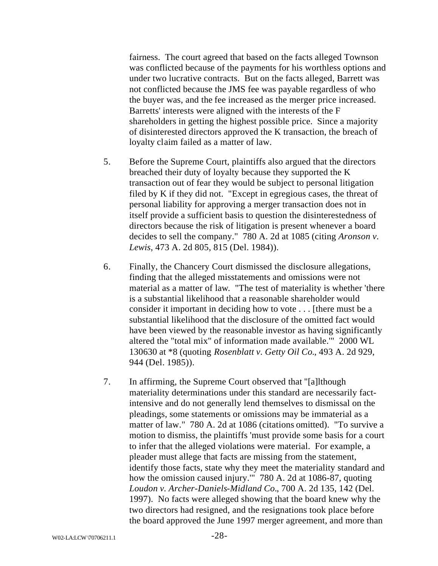fairness. The court agreed that based on the facts alleged Townson was conflicted because of the payments for his worthless options and under two lucrative contracts. But on the facts alleged, Barrett was not conflicted because the JMS fee was payable regardless of who the buyer was, and the fee increased as the merger price increased. Barretts' interests were aligned with the interests of the F shareholders in getting the highest possible price. Since a majority of disinterested directors approved the K transaction, the breach of loyalty claim failed as a matter of law.

- 5. Before the Supreme Court, plaintiffs also argued that the directors breached their duty of loyalty because they supported the K transaction out of fear they would be subject to personal litigation filed by K if they did not. "Except in egregious cases, the threat of personal liability for approving a merger transaction does not in itself provide a sufficient basis to question the disinterestedness of directors because the risk of litigation is present whenever a board decides to sell the company." 780 A. 2d at 1085 (citing *Aronson v. Lewis*, 473 A. 2d 805, 815 (Del. 1984)).
- 6. Finally, the Chancery Court dismissed the disclosure allegations, finding that the alleged misstatements and omissions were not material as a matter of law. "The test of materiality is whether 'there is a substantial likelihood that a reasonable shareholder would consider it important in deciding how to vote . . . [there must be a substantial likelihood that the disclosure of the omitted fact would have been viewed by the reasonable investor as having significantly altered the "total mix" of information made available.'" 2000 WL 130630 at \*8 (quoting *Rosenblatt v. Getty Oil Co.*, 493 A. 2d 929, 944 (Del. 1985)).
- 7. In affirming, the Supreme Court observed that "[a]lthough materiality determinations under this standard are necessarily factintensive and do not generally lend themselves to dismissal on the pleadings, some statements or omissions may be immaterial as a matter of law." 780 A. 2d at 1086 (citations omitted). "To survive a motion to dismiss, the plaintiffs 'must provide some basis for a court to infer that the alleged violations were material. For example, a pleader must allege that facts are missing from the statement, identify those facts, state why they meet the materiality standard and how the omission caused injury.'" 780 A. 2d at 1086-87, quoting *Loudon v. Archer-Daniels-Midland Co.*, 700 A. 2d 135, 142 (Del. 1997). No facts were alleged showing that the board knew why the two directors had resigned, and the resignations took place before the board approved the June 1997 merger agreement, and more than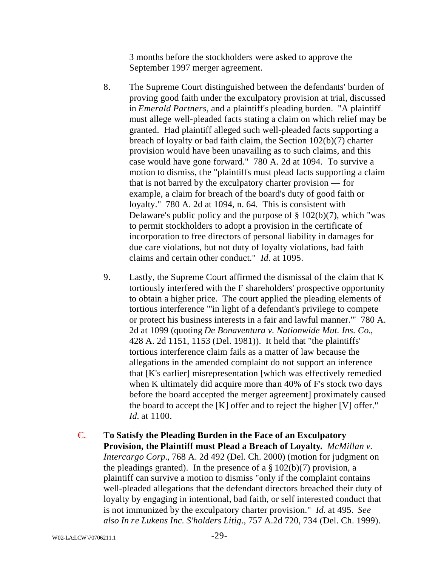3 months before the stockholders were asked to approve the September 1997 merger agreement.

- 8. The Supreme Court distinguished between the defendants' burden of proving good faith under the exculpatory provision at trial, discussed in *Emerald Partners*, and a plaintiff's pleading burden. "A plaintiff must allege well-pleaded facts stating a claim on which relief may be granted. Had plaintiff alleged such well-pleaded facts supporting a breach of loyalty or bad faith claim, the Section 102(b)(7) charter provision would have been unavailing as to such claims, and this case would have gone forward." 780 A. 2d at 1094. To survive a motion to dismiss, the "plaintiffs must plead facts supporting a claim that is not barred by the exculpatory charter provision — for example, a claim for breach of the board's duty of good faith or loyalty." 780 A. 2d at 1094, n. 64. This is consistent with Delaware's public policy and the purpose of  $\S 102(b)(7)$ , which "was to permit stockholders to adopt a provision in the certificate of incorporation to free directors of personal liability in damages for due care violations, but not duty of loyalty violations, bad faith claims and certain other conduct." *Id.* at 1095.
- 9. Lastly, the Supreme Court affirmed the dismissal of the claim that K tortiously interfered with the F shareholders' prospective opportunity to obtain a higher price. The court applied the pleading elements of tortious interference "'in light of a defendant's privilege to compete or protect his business interests in a fair and lawful manner.'" 780 A. 2d at 1099 (quoting *De Bonaventura v. Nationwide Mut. Ins. Co.*, 428 A. 2d 1151, 1153 (Del. 1981)). It held that "the plaintiffs' tortious interference claim fails as a matter of law because the allegations in the amended complaint do not support an inference that [K's earlier] misrepresentation [which was effectively remedied when K ultimately did acquire more than 40% of F's stock two days before the board accepted the merger agreement] proximately caused the board to accept the [K] offer and to reject the higher [V] offer." *Id.* at 1100.
- C. **To Satisfy the Pleading Burden in the Face of an Exculpatory Provision, the Plaintiff must Plead a Breach of Loyalty.** *McMillan v. Intercargo Corp.*, 768 A. 2d 492 (Del. Ch. 2000) (motion for judgment on the pleadings granted). In the presence of a  $\S 102(b)(7)$  provision, a plaintiff can survive a motion to dismiss "only if the complaint contains well-pleaded allegations that the defendant directors breached their duty of loyalty by engaging in intentional, bad faith, or self interested conduct that is not immunized by the exculpatory charter provision." *Id.* at 495. *See also In re Lukens Inc. S'holders Litig*., 757 A.2d 720, 734 (Del. Ch. 1999).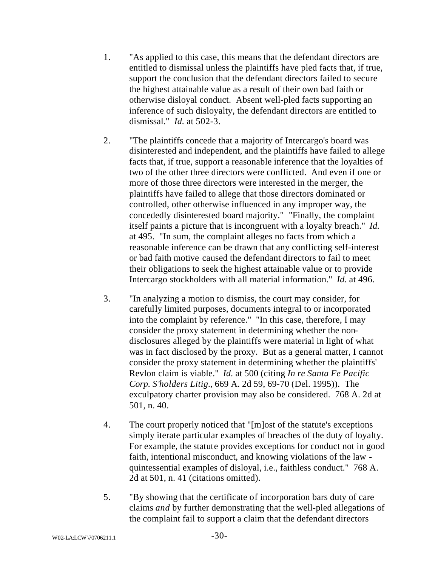- 1. "As applied to this case, this means that the defendant directors are entitled to dismissal unless the plaintiffs have pled facts that, if true, support the conclusion that the defendant directors failed to secure the highest attainable value as a result of their own bad faith or otherwise disloyal conduct. Absent well-pled facts supporting an inference of such disloyalty, the defendant directors are entitled to dismissal." *Id.* at 502-3.
- 2. "The plaintiffs concede that a majority of Intercargo's board was disinterested and independent, and the plaintiffs have failed to allege facts that, if true, support a reasonable inference that the loyalties of two of the other three directors were conflicted. And even if one or more of those three directors were interested in the merger, the plaintiffs have failed to allege that those directors dominated or controlled, other otherwise influenced in any improper way, the concededly disinterested board majority." "Finally, the complaint itself paints a picture that is incongruent with a loyalty breach." *Id.* at 495. "In sum, the complaint alleges no facts from which a reasonable inference can be drawn that any conflicting self-interest or bad faith motive caused the defendant directors to fail to meet their obligations to seek the highest attainable value or to provide Intercargo stockholders with all material information." *Id.* at 496.
- 3. "In analyzing a motion to dismiss, the court may consider, for carefully limited purposes, documents integral to or incorporated into the complaint by reference." "In this case, therefore, I may consider the proxy statement in determining whether the nondisclosures alleged by the plaintiffs were material in light of what was in fact disclosed by the proxy. But as a general matter, I cannot consider the proxy statement in determining whether the plaintiffs' Revlon claim is viable." *Id.* at 500 (citing *In re Santa Fe Pacific Corp. S'holders Litig.*, 669 A. 2d 59, 69-70 (Del. 1995)). The exculpatory charter provision may also be considered. 768 A. 2d at 501, n. 40.
- 4. The court properly noticed that "[m]ost of the statute's exceptions simply iterate particular examples of breaches of the duty of loyalty. For example, the statute provides exceptions for conduct not in good faith, intentional misconduct, and knowing violations of the law quintessential examples of disloyal, i.e., faithless conduct." 768 A. 2d at 501, n. 41 (citations omitted).
- 5. "By showing that the certificate of incorporation bars duty of care claims *and* by further demonstrating that the well-pled allegations of the complaint fail to support a claim that the defendant directors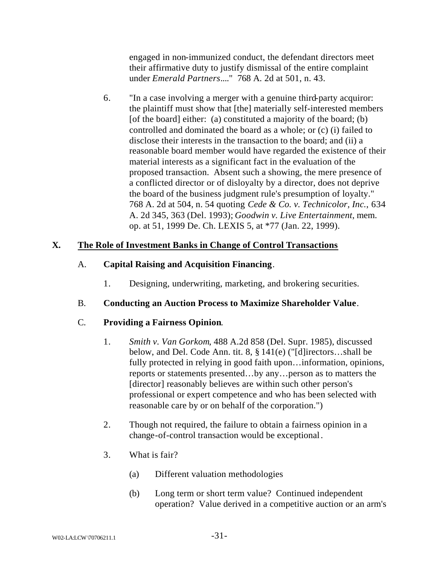engaged in non-immunized conduct, the defendant directors meet their affirmative duty to justify dismissal of the entire complaint under *Emerald Partners*...." 768 A. 2d at 501, n. 43.

6. "In a case involving a merger with a genuine third-party acquiror: the plaintiff must show that [the] materially self-interested members [of the board] either: (a) constituted a majority of the board; (b) controlled and dominated the board as a whole; or (c) (i) failed to disclose their interests in the transaction to the board; and (ii) a reasonable board member would have regarded the existence of their material interests as a significant fact in the evaluation of the proposed transaction. Absent such a showing, the mere presence of a conflicted director or of disloyalty by a director, does not deprive the board of the business judgment rule's presumption of loyalty." 768 A. 2d at 504, n. 54 quoting *Cede & Co. v. Technicolor, Inc.*, 634 A. 2d 345, 363 (Del. 1993); *Goodwin v. Live Entertainment*, mem. op. at 51, 1999 De. Ch. LEXIS 5, at \*77 (Jan. 22, 1999).

# **X. The Role of Investment Banks in Change of Control Transactions**

- A. **Capital Raising and Acquisition Financing**.
	- 1. Designing, underwriting, marketing, and brokering securities.

# B. **Conducting an Auction Process to Maximize Shareholder Value**.

# C. **Providing a Fairness Opinion**.

- 1. *Smith v. Van Gorkom*, 488 A.2d 858 (Del. Supr. 1985), discussed below, and Del. Code Ann. tit. 8, § 141(e) ("[d]irectors…shall be fully protected in relying in good faith upon...information, opinions, reports or statements presented…by any…person as to matters the [director] reasonably believes are within such other person's professional or expert competence and who has been selected with reasonable care by or on behalf of the corporation.")
- 2. Though not required, the failure to obtain a fairness opinion in a change-of-control transaction would be exceptional.
- 3. What is fair?
	- (a) Different valuation methodologies
	- (b) Long term or short term value? Continued independent operation? Value derived in a competitive auction or an arm's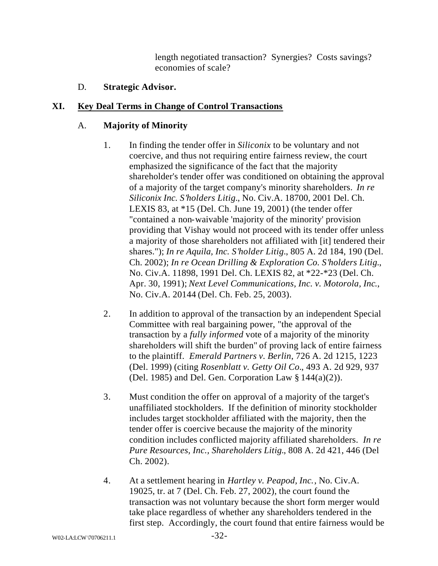length negotiated transaction? Synergies? Costs savings? economies of scale?

# D. **Strategic Advisor.**

# **XI. Key Deal Terms in Change of Control Transactions**

# A. **Majority of Minority**

- 1. In finding the tender offer in *Siliconix* to be voluntary and not coercive, and thus not requiring entire fairness review, the court emphasized the significance of the fact that the majority shareholder's tender offer was conditioned on obtaining the approval of a majority of the target company's minority shareholders. *In re Siliconix Inc. S'holders Litig.*, No. Civ.A. 18700, 2001 Del. Ch. LEXIS 83, at \*15 (Del. Ch. June 19, 2001) (the tender offer "contained a non-waivable 'majority of the minority' provision providing that Vishay would not proceed with its tender offer unless a majority of those shareholders not affiliated with [it] tendered their shares."); *In re Aquila, Inc. S'holder Litig.*, 805 A. 2d 184, 190 (Del. Ch. 2002); *In re Ocean Drilling & Exploration Co. S'holders Litig.*, No. Civ.A. 11898, 1991 Del. Ch. LEXIS 82, at \*22-\*23 (Del. Ch. Apr. 30, 1991); *Next Level Communications, Inc. v. Motorola, Inc*., No. Civ.A. 20144 (Del. Ch. Feb. 25, 2003).
- 2. In addition to approval of the transaction by an independent Special Committee with real bargaining power, "the approval of the transaction by a *fully informed* vote of a majority of the minority shareholders will shift the burden" of proving lack of entire fairness to the plaintiff. *Emerald Partners v. Berlin*, 726 A. 2d 1215, 1223 (Del. 1999) (citing *Rosenblatt v. Getty Oil Co.*, 493 A. 2d 929, 937 (Del. 1985) and Del. Gen. Corporation Law  $\S 144(a)(2)$ ).
- 3. Must condition the offer on approval of a majority of the target's unaffiliated stockholders. If the definition of minority stockholder includes target stockholder affiliated with the majority, then the tender offer is coercive because the majority of the minority condition includes conflicted majority affiliated shareholders. *In re Pure Resources, Inc., Shareholders Litig.*, 808 A. 2d 421, 446 (Del Ch. 2002).
- 4. At a settlement hearing in *Hartley v. Peapod, Inc.*, No. Civ.A. 19025, tr. at 7 (Del. Ch. Feb. 27, 2002), the court found the transaction was not voluntary because the short form merger would take place regardless of whether any shareholders tendered in the first step. Accordingly, the court found that entire fairness would be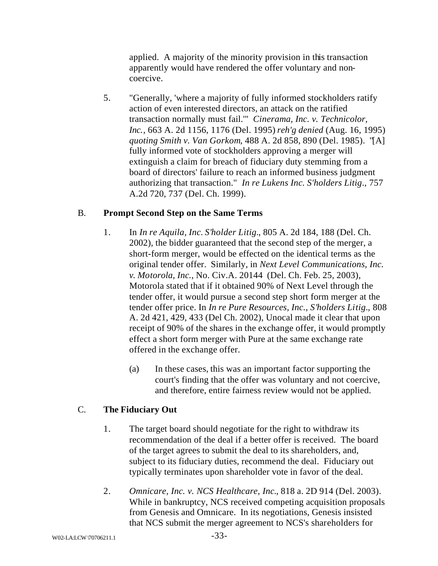applied. A majority of the minority provision in this transaction apparently would have rendered the offer voluntary and noncoercive.

5. "Generally, 'where a majority of fully informed stockholders ratify action of even interested directors, an attack on the ratified transaction normally must fail.'" *Cinerama, Inc. v. Technicolor, Inc.*, 663 A. 2d 1156, 1176 (Del. 1995) *reh'g denied* (Aug. 16, 1995) *quoting Smith v. Van Gorkom*, 488 A. 2d 858, 890 (Del. 1985). "[A] fully informed vote of stockholders approving a merger will extinguish a claim for breach of fiduciary duty stemming from a board of directors' failure to reach an informed business judgment authorizing that transaction." *In re Lukens Inc. S'holders Litig*., 757 A.2d 720, 737 (Del. Ch. 1999).

# B. **Prompt Second Step on the Same Terms**

- 1. In *In re Aquila, Inc. S'holder Litig.*, 805 A. 2d 184, 188 (Del. Ch. 2002), the bidder guaranteed that the second step of the merger, a short-form merger, would be effected on the identical terms as the original tender offer. Similarly, in *Next Level Communications, Inc. v. Motorola, Inc.*, No. Civ.A. 20144 (Del. Ch. Feb. 25, 2003), Motorola stated that if it obtained 90% of Next Level through the tender offer, it would pursue a second step short form merger at the tender offer price. In *In re Pure Resources, Inc., S'holders Litig.*, 808 A. 2d 421, 429, 433 (Del Ch. 2002), Unocal made it clear that upon receipt of 90% of the shares in the exchange offer, it would promptly effect a short form merger with Pure at the same exchange rate offered in the exchange offer.
	- (a) In these cases, this was an important factor supporting the court's finding that the offer was voluntary and not coercive, and therefore, entire fairness review would not be applied.

# C. **The Fiduciary Out**

- 1. The target board should negotiate for the right to withdraw its recommendation of the deal if a better offer is received. The board of the target agrees to submit the deal to its shareholders, and, subject to its fiduciary duties, recommend the deal. Fiduciary out typically terminates upon shareholder vote in favor of the deal.
- 2. *Omnicare, Inc. v. NCS Healthcare, Inc.*, 818 a. 2D 914 (Del. 2003). While in bankruptcy, NCS received competing acquisition proposals from Genesis and Omnicare. In its negotiations, Genesis insisted that NCS submit the merger agreement to NCS's shareholders for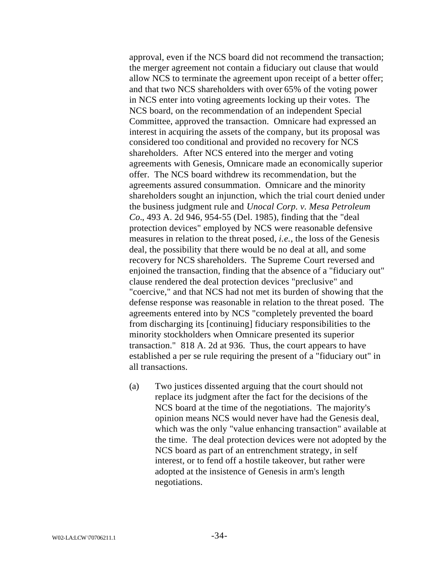approval, even if the NCS board did not recommend the transaction; the merger agreement not contain a fiduciary out clause that would allow NCS to terminate the agreement upon receipt of a better offer; and that two NCS shareholders with over 65% of the voting power in NCS enter into voting agreements locking up their votes. The NCS board, on the recommendation of an independent Special Committee, approved the transaction. Omnicare had expressed an interest in acquiring the assets of the company, but its proposal was considered too conditional and provided no recovery for NCS shareholders. After NCS entered into the merger and voting agreements with Genesis, Omnicare made an economically superior offer. The NCS board withdrew its recommendation, but the agreements assured consummation. Omnicare and the minority shareholders sought an injunction, which the trial court denied under the business judgment rule and *Unocal Corp. v. Mesa Petroleum Co.*, 493 A. 2d 946, 954-55 (Del. 1985), finding that the "deal protection devices" employed by NCS were reasonable defensive measures in relation to the threat posed, *i.e.*, the loss of the Genesis deal, the possibility that there would be no deal at all, and some recovery for NCS shareholders. The Supreme Court reversed and enjoined the transaction, finding that the absence of a "fiduciary out" clause rendered the deal protection devices "preclusive" and "coercive," and that NCS had not met its burden of showing that the defense response was reasonable in relation to the threat posed. The agreements entered into by NCS "completely prevented the board from discharging its [continuing] fiduciary responsibilities to the minority stockholders when Omnicare presented its superior transaction." 818 A. 2d at 936. Thus, the court appears to have established a per se rule requiring the present of a "fiduciary out" in all transactions.

(a) Two justices dissented arguing that the court should not replace its judgment after the fact for the decisions of the NCS board at the time of the negotiations. The majority's opinion means NCS would never have had the Genesis deal, which was the only "value enhancing transaction" available at the time. The deal protection devices were not adopted by the NCS board as part of an entrenchment strategy, in self interest, or to fend off a hostile takeover, but rather were adopted at the insistence of Genesis in arm's length negotiations.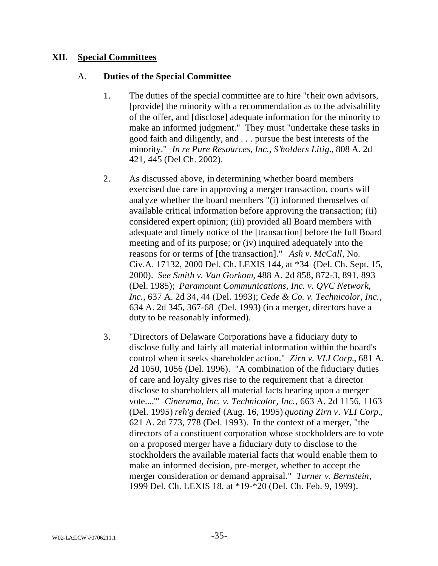### **XII. Special Committees**

### A. **Duties of the Special Committee**

- 1. The duties of the special committee are to hire "their own advisors, [provide] the minority with a recommendation as to the advisability of the offer, and [disclose] adequate information for the minority to make an informed judgment." They must "undertake these tasks in good faith and diligently, and . . . pursue the best interests of the minority." *In re Pure Resources, Inc., S'holders Litig.*, 808 A. 2d 421, 445 (Del Ch. 2002).
- 2. As discussed above, in determining whether board members exercised due care in approving a merger transaction, courts will analyze whether the board members "(i) informed themselves of available critical information before approving the transaction; (ii) considered expert opinion; (iii) provided all Board members with adequate and timely notice of the [transaction] before the full Board meeting and of its purpose; or (iv) inquired adequately into the reasons for or terms of [the transaction]." *Ash v. McCall*, No. Civ.A. 17132, 2000 Del. Ch. LEXIS 144, at \*34 (Del. Ch. Sept. 15, 2000). *See Smith v. Van Gorkom,* 488 A. 2d 858, 872-3, 891, 893 (Del. 1985); *Paramount Communications, Inc. v. QVC Network, Inc.*, 637 A. 2d 34, 44 (Del. 1993); *Cede & Co. v. Technicolor, Inc.*, 634 A. 2d 345, 367-68 (Del. 1993) (in a merger, directors have a duty to be reasonably informed).
- 3. "Directors of Delaware Corporations have a fiduciary duty to disclose fully and fairly all material information within the board's control when it seeks shareholder action." *Zirn v. VLI Corp.*, 681 A. 2d 1050, 1056 (Del. 1996). "A combination of the fiduciary duties of care and loyalty gives rise to the requirement that 'a director disclose to shareholders all material facts bearing upon a merger vote....'" *Cinerama, Inc. v. Technicolor, Inc.*, 663 A. 2d 1156, 1163 (Del. 1995) *reh'g denied* (Aug. 16, 1995) *quoting Zirn v. VLI Corp.*, 621 A. 2d 773, 778 (Del. 1993). In the context of a merger, "the directors of a constituent corporation whose stockholders are to vote on a proposed merger have a fiduciary duty to disclose to the stockholders the available material facts that would enable them to make an informed decision, pre-merger, whether to accept the merger consideration or demand appraisal." *Turner v. Bernstein*, 1999 Del. Ch. LEXIS 18, at \*19-\*20 (Del. Ch. Feb. 9, 1999).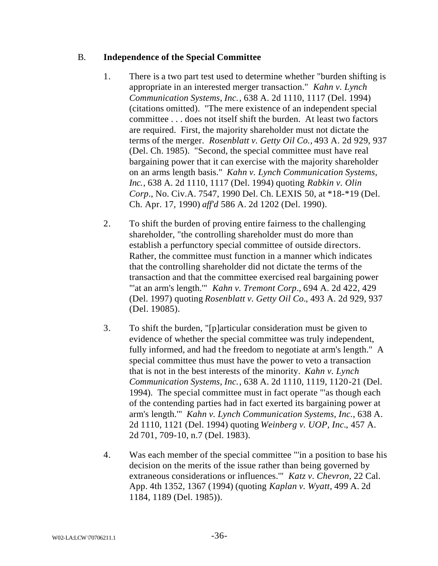# B. **Independence of the Special Committee**

- 1. There is a two part test used to determine whether "burden shifting is appropriate in an interested merger transaction." *Kahn v. Lynch Communication Systems, Inc.*, 638 A. 2d 1110, 1117 (Del. 1994) (citations omitted). "The mere existence of an independent special committee . . . does not itself shift the burden. At least two factors are required. First, the majority shareholder must not dictate the terms of the merger. *Rosenblatt v. Getty Oil Co.,* 493 A. 2d 929, 937 (Del. Ch. 1985). "Second, the special committee must have real bargaining power that it can exercise with the majority shareholder on an arms length basis." *Kahn v. Lynch Communication Systems, Inc.*, 638 A. 2d 1110, 1117 (Del. 1994) quoting *Rabkin v. Olin Corp*., No. Civ.A. 7547, 1990 Del. Ch. LEXIS 50, at \*18-\*19 (Del. Ch. Apr. 17, 1990) *aff'd* 586 A. 2d 1202 (Del. 1990).
- 2. To shift the burden of proving entire fairness to the challenging shareholder, "the controlling shareholder must do more than establish a perfunctory special committee of outside directors. Rather, the committee must function in a manner which indicates that the controlling shareholder did not dictate the terms of the transaction and that the committee exercised real bargaining power "'at an arm's length.'" *Kahn v. Tremont Corp*., 694 A. 2d 422, 429 (Del. 1997) quoting *Rosenblatt v. Getty Oil Co.*, 493 A. 2d 929, 937 (Del. 19085).
- 3. To shift the burden, "[p]articular consideration must be given to evidence of whether the special committee was truly independent, fully informed, and had the freedom to negotiate at arm's length." A special committee thus must have the power to veto a transaction that is not in the best interests of the minority. *Kahn v. Lynch Communication Systems, Inc.*, 638 A. 2d 1110, 1119, 1120-21 (Del. 1994). The special committee must in fact operate "'as though each of the contending parties had in fact exerted its bargaining power at arm's length.'" *Kahn v. Lynch Communication Systems, Inc.*, 638 A. 2d 1110, 1121 (Del. 1994) quoting *Weinberg v. UOP, Inc.*, 457 A. 2d 701, 709-10, n.7 (Del. 1983).
- 4. Was each member of the special committee "'in a position to base his decision on the merits of the issue rather than being governed by extraneous considerations or influences.'" *Katz v. Chevron*, 22 Cal. App. 4th 1352, 1367 (1994) (quoting *Kaplan v. Wyatt*, 499 A. 2d 1184, 1189 (Del. 1985)).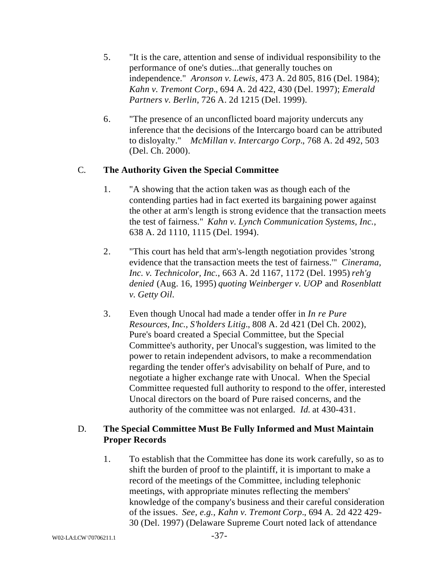- 5. "It is the care, attention and sense of individual responsibility to the performance of one's duties...that generally touches on independence." *Aronson v. Lewis*, 473 A. 2d 805, 816 (Del. 1984); *Kahn v. Tremont Corp.*, 694 A. 2d 422, 430 (Del. 1997); *Emerald Partners v. Berlin*, 726 A. 2d 1215 (Del. 1999).
- 6. "The presence of an unconflicted board majority undercuts any inference that the decisions of the Intercargo board can be attributed to disloyalty." *McMillan v. Intercargo Corp.*, 768 A. 2d 492, 503 (Del. Ch. 2000).

### C. **The Authority Given the Special Committee**

- 1. "A showing that the action taken was as though each of the contending parties had in fact exerted its bargaining power against the other at arm's length is strong evidence that the transaction meets the test of fairness." *Kahn v. Lynch Communication Systems, Inc.*, 638 A. 2d 1110, 1115 (Del. 1994).
- 2. "This court has held that arm's-length negotiation provides 'strong evidence that the transaction meets the test of fairness.'" *Cinerama, Inc. v. Technicolor, Inc.*, 663 A. 2d 1167, 1172 (Del. 1995) *reh'g denied* (Aug. 16, 1995) *quoting Weinberger v. UOP* and *Rosenblatt v. Getty Oil*.
- 3. Even though Unocal had made a tender offer in *In re Pure Resources, Inc., S'holders Litig.*, 808 A. 2d 421 (Del Ch. 2002), Pure's board created a Special Committee, but the Special Committee's authority, per Unocal's suggestion, was limited to the power to retain independent advisors, to make a recommendation regarding the tender offer's advisability on behalf of Pure, and to negotiate a higher exchange rate with Unocal. When the Special Committee requested full authority to respond to the offer, interested Unocal directors on the board of Pure raised concerns, and the authority of the committee was not enlarged. *Id.* at 430-431.

# D. **The Special Committee Must Be Fully Informed and Must Maintain Proper Records**

1. To establish that the Committee has done its work carefully, so as to shift the burden of proof to the plaintiff, it is important to make a record of the meetings of the Committee, including telephonic meetings, with appropriate minutes reflecting the members' knowledge of the company's business and their careful consideration of the issues. *See, e.g., Kahn v. Tremont Corp.*, 694 A. 2d 422 429- 30 (Del. 1997) (Delaware Supreme Court noted lack of attendance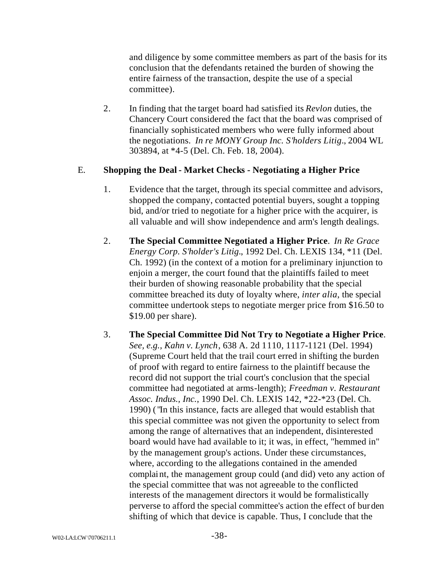and diligence by some committee members as part of the basis for its conclusion that the defendants retained the burden of showing the entire fairness of the transaction, despite the use of a special committee).

2. In finding that the target board had satisfied its *Revlon* duties, the Chancery Court considered the fact that the board was comprised of financially sophisticated members who were fully informed about the negotiations. *In re MONY Group Inc. S'holders Litig*., 2004 WL 303894, at \*4-5 (Del. Ch. Feb. 18, 2004).

# E. **Shopping the Deal - Market Checks - Negotiating a Higher Price**

- 1. Evidence that the target, through its special committee and advisors, shopped the company, contacted potential buyers, sought a topping bid, and/or tried to negotiate for a higher price with the acquirer, is all valuable and will show independence and arm's length dealings.
- 2. **The Special Committee Negotiated a Higher Price**. *In Re Grace Energy Corp. S'holder's Litig.*, 1992 Del. Ch. LEXIS 134, \*11 (Del. Ch. 1992) (in the context of a motion for a preliminary injunction to enjoin a merger, the court found that the plaintiffs failed to meet their burden of showing reasonable probability that the special committee breached its duty of loyalty where, *inter alia*, the special committee undertook steps to negotiate merger price from \$16.50 to \$19.00 per share).
- 3. **The Special Committee Did Not Try to Negotiate a Higher Price**. *See, e.g., Kahn v. Lynch*, 638 A. 2d 1110, 1117-1121 (Del. 1994) (Supreme Court held that the trail court erred in shifting the burden of proof with regard to entire fairness to the plaintiff because the record did not support the trial court's conclusion that the special committee had negotiated at arms-length); *Freedman v. Restaurant Assoc. Indus., Inc.*, 1990 Del. Ch. LEXIS 142, \*22-\*23 (Del. Ch. 1990) ( "In this instance, facts are alleged that would establish that this special committee was not given the opportunity to select from among the range of alternatives that an independent, disinterested board would have had available to it; it was, in effect, "hemmed in" by the management group's actions. Under these circumstances, where, according to the allegations contained in the amended complaint, the management group could (and did) veto any action of the special committee that was not agreeable to the conflicted interests of the management directors it would be formalistically perverse to afford the special committee's action the effect of bur den shifting of which that device is capable. Thus, I conclude that the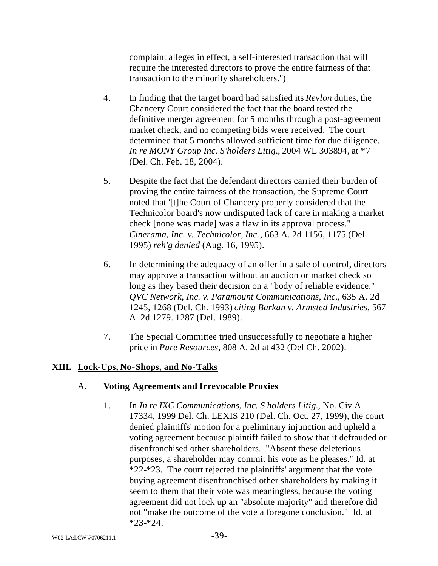complaint alleges in effect, a self-interested transaction that will require the interested directors to prove the entire fairness of that transaction to the minority shareholders.")

- 4. In finding that the target board had satisfied its *Revlon* duties, the Chancery Court considered the fact that the board tested the definitive merger agreement for 5 months through a post-agreement market check, and no competing bids were received. The court determined that 5 months allowed sufficient time for due diligence. *In re MONY Group Inc. S'holders Litig*., 2004 WL 303894, at \*7 (Del. Ch. Feb. 18, 2004).
- 5. Despite the fact that the defendant directors carried their burden of proving the entire fairness of the transaction, the Supreme Court noted that '[t]he Court of Chancery properly considered that the Technicolor board's now undisputed lack of care in making a market check [none was made] was a flaw in its approval process." *Cinerama, Inc. v. Technicolor, Inc.*, 663 A. 2d 1156, 1175 (Del. 1995) *reh'g denied* (Aug. 16, 1995).
- 6. In determining the adequacy of an offer in a sale of control, directors may approve a transaction without an auction or market check so long as they based their decision on a "body of reliable evidence." *QVC Network, Inc. v. Paramount Communications, Inc.*, 635 A. 2d 1245, 1268 (Del. Ch. 1993) *citing Barkan v. Armsted Industries*, 567 A. 2d 1279. 1287 (Del. 1989).
- 7. The Special Committee tried unsuccessfully to negotiate a higher price in *Pure Resources*, 808 A. 2d at 432 (Del Ch. 2002).

# **XIII. Lock-Ups, No-Shops, and No-Talks**

# A. **Voting Agreements and Irrevocable Proxies**

1. In *In re IXC Communications, Inc. S'holders Litig.*, No. Civ.A. 17334, 1999 Del. Ch. LEXIS 210 (Del. Ch. Oct. 27, 1999), the court denied plaintiffs' motion for a preliminary injunction and upheld a voting agreement because plaintiff failed to show that it defrauded or disenfranchised other shareholders. "Absent these deleterious purposes, a shareholder may commit his vote as he pleases." Id. at \*22-\*23. The court rejected the plaintiffs' argument that the vote buying agreement disenfranchised other shareholders by making it seem to them that their vote was meaningless, because the voting agreement did not lock up an "absolute majority" and therefore did not "make the outcome of the vote a foregone conclusion." Id. at  $*23-*24.$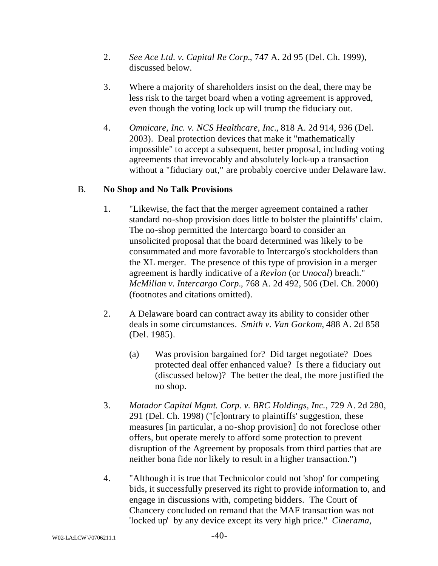- 2. *See Ace Ltd. v. Capital Re Corp.*, 747 A. 2d 95 (Del. Ch. 1999), discussed below.
- 3. Where a majority of shareholders insist on the deal, there may be less risk to the target board when a voting agreement is approved, even though the voting lock up will trump the fiduciary out.
- 4. *Omnicare, Inc. v. NCS Healthcare, Inc.*, 818 A. 2d 914, 936 (Del. 2003). Deal protection devices that make it "mathematically impossible" to accept a subsequent, better proposal, including voting agreements that irrevocably and absolutely lock-up a transaction without a "fiduciary out," are probably coercive under Delaware law.

# B. **No Shop and No Talk Provisions**

- 1. "Likewise, the fact that the merger agreement contained a rather standard no-shop provision does little to bolster the plaintiffs' claim. The no-shop permitted the Intercargo board to consider an unsolicited proposal that the board determined was likely to be consummated and more favorable to Intercargo's stockholders than the XL merger. The presence of this type of provision in a merger agreement is hardly indicative of a *Revlon* (or *Unocal*) breach." *McMillan v. Intercargo Corp.*, 768 A. 2d 492, 506 (Del. Ch. 2000) (footnotes and citations omitted).
- 2. A Delaware board can contract away its ability to consider other deals in some circumstances. *Smith v. Van Gorkom*, 488 A. 2d 858 (Del. 1985).
	- (a) Was provision bargained for? Did target negotiate? Does protected deal offer enhanced value? Is there a fiduciary out (discussed below)? The better the deal, the more justified the no shop.
- 3. *Matador Capital Mgmt. Corp. v. BRC Holdings, Inc.*, 729 A. 2d 280, 291 (Del. Ch. 1998) ("[c]ontrary to plaintiffs' suggestion, these measures [in particular, a no-shop provision] do not foreclose other offers, but operate merely to afford some protection to prevent disruption of the Agreement by proposals from third parties that are neither bona fide nor likely to result in a higher transaction.")
- 4. "Although it is true that Technicolor could not 'shop' for competing bids, it successfully preserved its right to provide information to, and engage in discussions with, competing bidders. The Court of Chancery concluded on remand that the MAF transaction was not 'locked up' by any device except its very high price." *Cinerama,*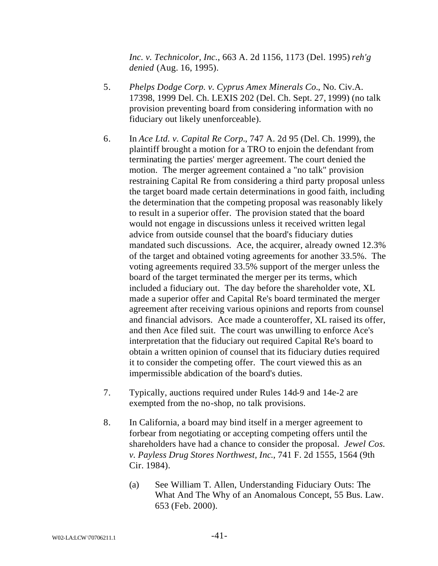*Inc. v. Technicolor, Inc.*, 663 A. 2d 1156, 1173 (Del. 1995) *reh'g denied* (Aug. 16, 1995).

- 5. *Phelps Dodge Corp. v. Cyprus Amex Minerals Co.*, No. Civ.A. 17398, 1999 Del. Ch. LEXIS 202 (Del. Ch. Sept. 27, 1999) (no talk provision preventing board from considering information with no fiduciary out likely unenforceable).
- 6. In *Ace Ltd. v. Capital Re Corp.*, 747 A. 2d 95 (Del. Ch. 1999), the plaintiff brought a motion for a TRO to enjoin the defendant from terminating the parties' merger agreement. The court denied the motion. The merger agreement contained a "no talk" provision restraining Capital Re from considering a third party proposal unless the target board made certain determinations in good faith, including the determination that the competing proposal was reasonably likely to result in a superior offer. The provision stated that the board would not engage in discussions unless it received written legal advice from outside counsel that the board's fiduciary duties mandated such discussions. Ace, the acquirer, already owned 12.3% of the target and obtained voting agreements for another 33.5%. The voting agreements required 33.5% support of the merger unless the board of the target terminated the merger per its terms, which included a fiduciary out. The day before the shareholder vote, XL made a superior offer and Capital Re's board terminated the merger agreement after receiving various opinions and reports from counsel and financial advisors. Ace made a counteroffer, XL raised its offer, and then Ace filed suit. The court was unwilling to enforce Ace's interpretation that the fiduciary out required Capital Re's board to obtain a written opinion of counsel that its fiduciary duties required it to consider the competing offer. The court viewed this as an impermissible abdication of the board's duties.
- 7. Typically, auctions required under Rules 14d-9 and 14e-2 are exempted from the no-shop, no talk provisions.
- 8. In California, a board may bind itself in a merger agreement to forbear from negotiating or accepting competing offers until the shareholders have had a chance to consider the proposal. *Jewel Cos. v. Payless Drug Stores Northwest, Inc*., 741 F. 2d 1555, 1564 (9th Cir. 1984).
	- (a) See William T. Allen, Understanding Fiduciary Outs: The What And The Why of an Anomalous Concept, 55 Bus. Law. 653 (Feb. 2000).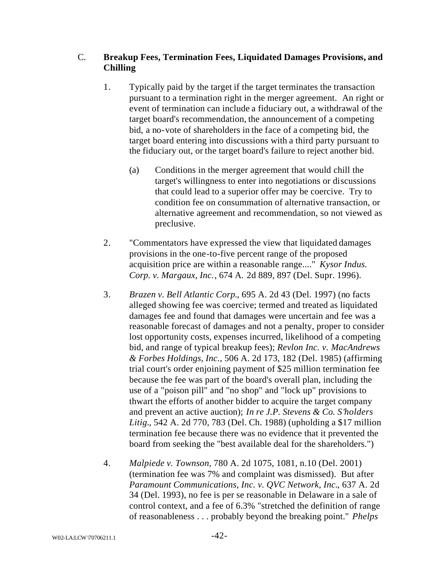# C. **Breakup Fees, Termination Fees, Liquidated Damages Provisions, and Chilling**

- 1. Typically paid by the target if the target terminates the transaction pursuant to a termination right in the merger agreement. An right or event of termination can include a fiduciary out, a withdrawal of the target board's recommendation, the announcement of a competing bid, a no-vote of shareholders in the face of a competing bid, the target board entering into discussions with a third party pursuant to the fiduciary out, or the target board's failure to reject another bid.
	- (a) Conditions in the merger agreement that would chill the target's willingness to enter into negotiations or discussions that could lead to a superior offer may be coercive. Try to condition fee on consummation of alternative transaction, or alternative agreement and recommendation, so not viewed as preclusive.
- 2. "Commentators have expressed the view that liquidated damages provisions in the one-to-five percent range of the proposed acquisition price are within a reasonable range...." *Kysor Indus. Corp. v. Margaux, Inc.*, 674 A. 2d 889, 897 (Del. Supr. 1996).
- 3. *Brazen v. Bell Atlantic Corp.*, 695 A. 2d 43 (Del. 1997) (no facts alleged showing fee was coercive; termed and treated as liquidated damages fee and found that damages were uncertain and fee was a reasonable forecast of damages and not a penalty, proper to consider lost opportunity costs, expenses incurred, likelihood of a competing bid, and range of typical breakup fees); *Revlon Inc. v. MacAndrews & Forbes Holdings, Inc.*, 506 A. 2d 173, 182 (Del. 1985) (affirming trial court's order enjoining payment of \$25 million termination fee because the fee was part of the board's overall plan, including the use of a "poison pill" and "no shop" and "lock up" provisions to thwart the efforts of another bidder to acquire the target company and prevent an active auction); *In re J.P. Stevens & Co. S'holders Litig.*, 542 A. 2d 770, 783 (Del. Ch. 1988) (upholding a \$17 million termination fee because there was no evidence that it prevented the board from seeking the "best available deal for the shareholders.")
- 4. *Malpiede v. Townson*, 780 A. 2d 1075, 1081, n.10 (Del. 2001) (termination fee was 7% and complaint was dismissed). But after *Paramount Communications, Inc. v. QVC Network, Inc.*, 637 A. 2d 34 (Del. 1993), no fee is per se reasonable in Delaware in a sale of control context, and a fee of 6.3% "stretched the definition of range of reasonableness . . . probably beyond the breaking point." *Phelps*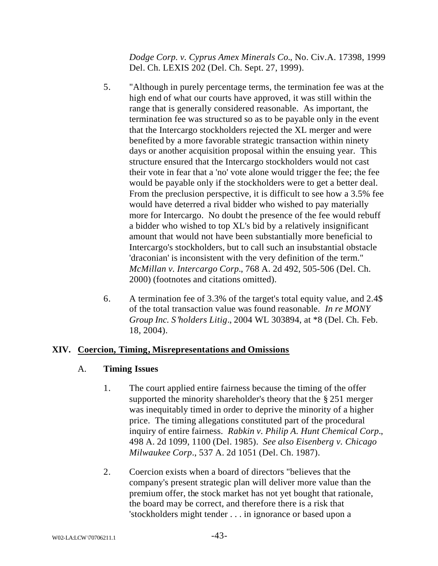*Dodge Corp. v. Cyprus Amex Minerals Co.*, No. Civ.A. 17398, 1999 Del. Ch. LEXIS 202 (Del. Ch. Sept. 27, 1999).

- 5. "Although in purely percentage terms, the termination fee was at the high end of what our courts have approved, it was still within the range that is generally considered reasonable. As important, the termination fee was structured so as to be payable only in the event that the Intercargo stockholders rejected the XL merger and were benefited by a more favorable strategic transaction within ninety days or another acquisition proposal within the ensuing year. This structure ensured that the Intercargo stockholders would not cast their vote in fear that a 'no' vote alone would trigger the fee; the fee would be payable only if the stockholders were to get a better deal. From the preclusion perspective, it is difficult to see how a 3.5% fee would have deterred a rival bidder who wished to pay materially more for Intercargo. No doubt the presence of the fee would rebuff a bidder who wished to top XL's bid by a relatively insignificant amount that would not have been substantially more beneficial to Intercargo's stockholders, but to call such an insubstantial obstacle 'draconian' is inconsistent with the very definition of the term." *McMillan v. Intercargo Corp.*, 768 A. 2d 492, 505-506 (Del. Ch. 2000) (footnotes and citations omitted).
- 6. A termination fee of 3.3% of the target's total equity value, and 2.4\$ of the total transaction value was found reasonable. *In re MONY Group Inc. S'holders Litig*., 2004 WL 303894, at \*8 (Del. Ch. Feb. 18, 2004).

# **XIV. Coercion, Timing, Misrepresentations and Omissions**

# A. **Timing Issues**

- 1. The court applied entire fairness because the timing of the offer supported the minority shareholder's theory that the § 251 merger was inequitably timed in order to deprive the minority of a higher price. The timing allegations constituted part of the procedural inquiry of entire fairness. *Rabkin v. Philip A. Hunt Chemical Corp.*, 498 A. 2d 1099, 1100 (Del. 1985). *See also Eisenberg v. Chicago Milwaukee Corp*., 537 A. 2d 1051 (Del. Ch. 1987).
- 2. Coercion exists when a board of directors "believes that the company's present strategic plan will deliver more value than the premium offer, the stock market has not yet bought that rationale, the board may be correct, and therefore there is a risk that 'stockholders might tender . . . in ignorance or based upon a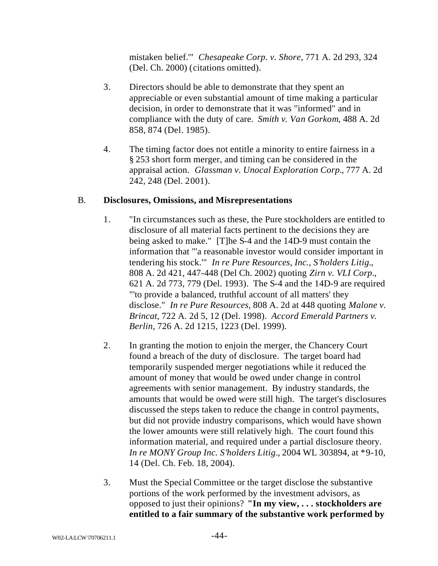mistaken belief.'" *Chesapeake Corp. v. Shore*, 771 A. 2d 293, 324 (Del. Ch. 2000) (citations omitted).

- 3. Directors should be able to demonstrate that they spent an appreciable or even substantial amount of time making a particular decision, in order to demonstrate that it was "informed" and in compliance with the duty of care. *Smith v. Van Gorkom*, 488 A. 2d 858, 874 (Del. 1985).
- 4. The timing factor does not entitle a minority to entire fairness in a § 253 short form merger, and timing can be considered in the appraisal action. *Glassman v. Unocal Exploration Corp.*, 777 A. 2d 242, 248 (Del. 2001).

### B. **Disclosures, Omissions, and Misrepresentations**

- 1. "In circumstances such as these, the Pure stockholders are entitled to disclosure of all material facts pertinent to the decisions they are being asked to make." [T]he S-4 and the 14D-9 must contain the information that "'a reasonable investor would consider important in tendering his stock.'" *In re Pure Resources, Inc., S'holders Litig.*, 808 A. 2d 421, 447-448 (Del Ch. 2002) quoting *Zirn v. VLI Corp*., 621 A. 2d 773, 779 (Del. 1993). The S-4 and the 14D-9 are required "'to provide a balanced, truthful account of all matters' they disclose." *In re Pure Resources,* 808 A. 2d at 448 quoting *Malone v. Brincat*, 722 A. 2d 5, 12 (Del. 1998). *Accord Emerald Partners v. Berlin*, 726 A. 2d 1215, 1223 (Del. 1999).
- 2. In granting the motion to enjoin the merger, the Chancery Court found a breach of the duty of disclosure. The target board had temporarily suspended merger negotiations while it reduced the amount of money that would be owed under change in control agreements with senior management. By industry standards, the amounts that would be owed were still high. The target's disclosures discussed the steps taken to reduce the change in control payments, but did not provide industry comparisons, which would have shown the lower amounts were still relatively high. The court found this information material, and required under a partial disclosure theory. *In re MONY Group Inc. S'holders Litig*., 2004 WL 303894, at \*9-10, 14 (Del. Ch. Feb. 18, 2004).
- 3. Must the Special Committee or the target disclose the substantive portions of the work performed by the investment advisors, as opposed to just their opinions? **"In my view, . . . stockholders are entitled to a fair summary of the substantive work performed by**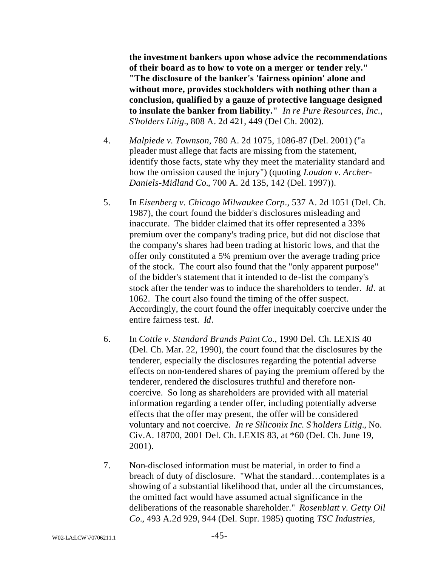**the investment bankers upon whose advice the recommendations of their board as to how to vote on a merger or tender rely." "The disclosure of the banker's 'fairness opinion' alone and without more, provides stockholders with nothing other than a conclusion, qualified by a gauze of protective language designed to insulate the banker from liability."** *In re Pure Resources, Inc., S'holders Litig.*, 808 A. 2d 421, 449 (Del Ch. 2002).

- 4. *Malpiede v. Townson*, 780 A. 2d 1075, 1086-87 (Del. 2001) ("a pleader must allege that facts are missing from the statement, identify those facts, state why they meet the materiality standard and how the omission caused the injury") (quoting *Loudon v. Archer-Daniels-Midland Co.*, 700 A. 2d 135, 142 (Del. 1997)).
- 5. In *Eisenberg v. Chicago Milwaukee Corp*., 537 A. 2d 1051 (Del. Ch. 1987), the court found the bidder's disclosures misleading and inaccurate. The bidder claimed that its offer represented a 33% premium over the company's trading price, but did not disclose that the company's shares had been trading at historic lows, and that the offer only constituted a 5% premium over the average trading price of the stock. The court also found that the "only apparent purpose" of the bidder's statement that it intended to de-list the company's stock after the tender was to induce the shareholders to tender. *Id*. at 1062. The court also found the timing of the offer suspect. Accordingly, the court found the offer inequitably coercive under the entire fairness test. *Id*.
- 6. In *Cottle v. Standard Brands Paint Co.*, 1990 Del. Ch. LEXIS 40 (Del. Ch. Mar. 22, 1990), the court found that the disclosures by the tenderer, especially the disclosures regarding the potential adverse effects on non-tendered shares of paying the premium offered by the tenderer, rendered the disclosures truthful and therefore noncoercive. So long as shareholders are provided with all material information regarding a tender offer, including potentially adverse effects that the offer may present, the offer will be considered voluntary and not coercive. *In re Siliconix Inc. S'holders Litig.*, No. Civ.A. 18700, 2001 Del. Ch. LEXIS 83, at \*60 (Del. Ch. June 19, 2001).
- 7. Non-disclosed information must be material, in order to find a breach of duty of disclosure. "What the standard…contemplates is a showing of a substantial likelihood that, under all the circumstances, the omitted fact would have assumed actual significance in the deliberations of the reasonable shareholder." *Rosenblatt v. Getty Oil Co.*, 493 A.2d 929, 944 (Del. Supr. 1985) quoting *TSC Industries,*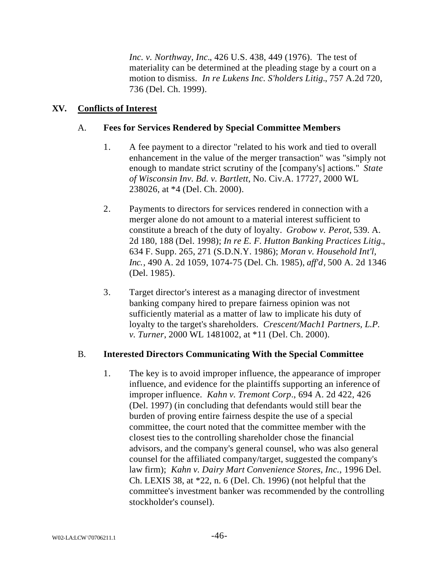*Inc. v. Northway, Inc.*, 426 U.S. 438, 449 (1976). The test of materiality can be determined at the pleading stage by a court on a motion to dismiss. *In re Lukens Inc. S'holders Litig.*, 757 A.2d 720, 736 (Del. Ch. 1999).

### **XV. Conflicts of Interest**

#### A. **Fees for Services Rendered by Special Committee Members**

- 1. A fee payment to a director "related to his work and tied to overall enhancement in the value of the merger transaction" was "simply not enough to mandate strict scrutiny of the [company's] actions." *State of Wisconsin Inv. Bd. v. Bartlett*, No. Civ.A. 17727, 2000 WL 238026, at \*4 (Del. Ch. 2000).
- 2. Payments to directors for services rendered in connection with a merger alone do not amount to a material interest sufficient to constitute a breach of the duty of loyalty. *Grobow v. Perot,* 539. A. 2d 180, 188 (Del. 1998); *In re E. F. Hutton Banking Practices Litig.*, 634 F. Supp. 265, 271 (S.D.N.Y. 1986); *Moran v. Household Int'l, Inc.*, 490 A. 2d 1059, 1074-75 (Del. Ch. 1985), *aff'd,* 500 A. 2d 1346 (Del. 1985).
- 3. Target director's interest as a managing director of investment banking company hired to prepare fairness opinion was not sufficiently material as a matter of law to implicate his duty of loyalty to the target's shareholders. *Crescent/Mach1 Partners, L.P. v. Turner*, 2000 WL 1481002, at \*11 (Del. Ch. 2000).

### B. **Interested Directors Communicating With the Special Committee**

1. The key is to avoid improper influence, the appearance of improper influence, and evidence for the plaintiffs supporting an inference of improper influence. *Kahn v. Tremont Corp*., 694 A. 2d 422, 426 (Del. 1997) (in concluding that defendants would still bear the burden of proving entire fairness despite the use of a special committee, the court noted that the committee member with the closest ties to the controlling shareholder chose the financial advisors, and the company's general counsel, who was also general counsel for the affiliated company/target, suggested the company's law firm); *Kahn v. Dairy Mart Convenience Stores, Inc.*, 1996 Del. Ch. LEXIS 38, at \*22, n. 6 (Del. Ch. 1996) (not helpful that the committee's investment banker was recommended by the controlling stockholder's counsel).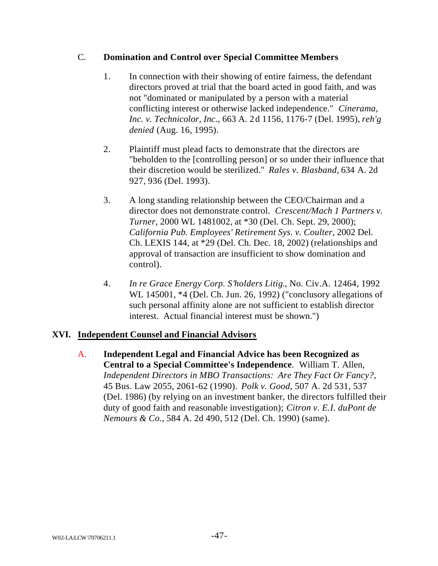# C. **Domination and Control over Special Committee Members**

- 1. In connection with their showing of entire fairness, the defendant directors proved at trial that the board acted in good faith, and was not "dominated or manipulated by a person with a material conflicting interest or otherwise lacked independence." *Cinerama, Inc. v. Technicolor, Inc.*, 663 A. 2d 1156, 1176-7 (Del. 1995), *reh'g denied* (Aug. 16, 1995).
- 2. Plaintiff must plead facts to demonstrate that the directors are "beholden to the [controlling person] or so under their influence that their discretion would be sterilized." *Rales v. Blasband*, 634 A. 2d 927, 936 (Del. 1993).
- 3. A long standing relationship between the CEO/Chairman and a director does not demonstrate control. *Crescent/Mach 1 Partners v. Turner*, 2000 WL 1481002, at \*30 (Del. Ch. Sept. 29, 2000); *California Pub. Employees' Retirement Sys. v. Coulter*, 2002 Del. Ch. LEXIS 144, at \*29 (Del. Ch. Dec. 18, 2002) (relationships and approval of transaction are insufficient to show domination and control).
- 4. *In re Grace Energy Corp. S'holders Litig.*, No. Civ.A. 12464, 1992 WL 145001, \*4 (Del. Ch. Jun. 26, 1992) ("conclusory allegations of such personal affinity alone are not sufficient to establish director interest. Actual financial interest must be shown.")

# **XVI. Independent Counsel and Financial Advisors**

A. **Independent Legal and Financial Advice has been Recognized as Central to a Special Committee's Independence**. William T. Allen, *Independent Directors in MBO Transactions: Are They Fact Or Fancy?*, 45 Bus. Law 2055, 2061-62 (1990). *Polk v. Good*, 507 A. 2d 531, 537 (Del. 1986) (by relying on an investment banker, the directors fulfilled their duty of good faith and reasonable investigation); *Citron v. E.I. duPont de Nemours & Co.*, 584 A. 2d 490, 512 (Del. Ch. 1990) (same).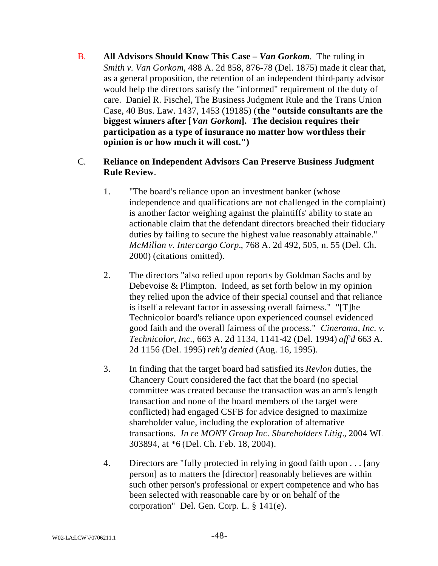B. **All Advisors Should Know This Case –** *Van Gorkom*. The ruling in *Smith v. Van Gorkom*, 488 A. 2d 858, 876-78 (Del. 1875) made it clear that, as a general proposition, the retention of an independent third-party advisor would help the directors satisfy the "informed" requirement of the duty of care. Daniel R. Fischel, The Business Judgment Rule and the Trans Union Case, 40 Bus. Law. 1437, 1453 (19185) (**the "outside consultants are the biggest winners after [***Van Gorkom***]. The decision requires their participation as a type of insurance no matter how worthless their opinion is or how much it will cost.")**

# C. **Reliance on Independent Advisors Can Preserve Business Judgment Rule Review**.

- 1. "The board's reliance upon an investment banker (whose independence and qualifications are not challenged in the complaint) is another factor weighing against the plaintiffs' ability to state an actionable claim that the defendant directors breached their fiduciary duties by failing to secure the highest value reasonably attainable." *McMillan v. Intercargo Corp.*, 768 A. 2d 492, 505, n. 55 (Del. Ch. 2000) (citations omitted).
- 2. The directors "also relied upon reports by Goldman Sachs and by Debevoise & Plimpton. Indeed, as set forth below in my opinion they relied upon the advice of their special counsel and that reliance is itself a relevant factor in assessing overall fairness." "[T]he Technicolor board's reliance upon experienced counsel evidenced good faith and the overall fairness of the process." *Cinerama, Inc. v. Technicolor, Inc.*, 663 A. 2d 1134, 1141-42 (Del. 1994) *aff'd* 663 A. 2d 1156 (Del. 1995) *reh'g denied* (Aug. 16, 1995).
- 3. In finding that the target board had satisfied its *Revlon* duties, the Chancery Court considered the fact that the board (no special committee was created because the transaction was an arm's length transaction and none of the board members of the target were conflicted) had engaged CSFB for advice designed to maximize shareholder value, including the exploration of alternative transactions. *In re MONY Group Inc. Shareholders Litig*., 2004 WL 303894, at \*6 (Del. Ch. Feb. 18, 2004).
- 4. Directors are "fully protected in relying in good faith upon . . . [any person] as to matters the [director] reasonably believes are within such other person's professional or expert competence and who has been selected with reasonable care by or on behalf of the corporation" Del. Gen. Corp. L. § 141(e).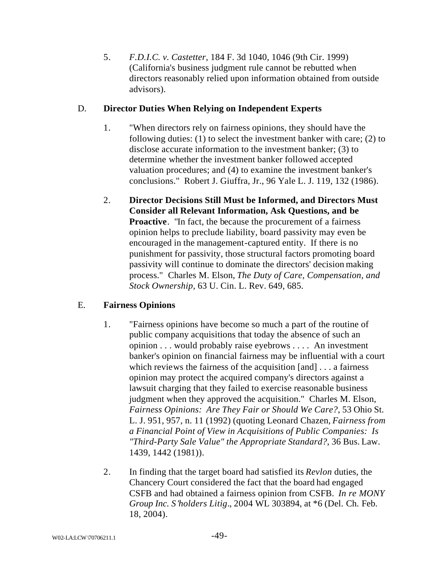5. *F.D.I.C. v. Castetter*, 184 F. 3d 1040, 1046 (9th Cir. 1999) (California's business judgment rule cannot be rebutted when directors reasonably relied upon information obtained from outside advisors).

# D. **Director Duties When Relying on Independent Experts**

- 1. "When directors rely on fairness opinions, they should have the following duties: (1) to select the investment banker with care; (2) to disclose accurate information to the investment banker; (3) to determine whether the investment banker followed accepted valuation procedures; and (4) to examine the investment banker's conclusions." Robert J. Giuffra, Jr., 96 Yale L. J. 119, 132 (1986).
- 2. **Director Decisions Still Must be Informed, and Directors Must Consider all Relevant Information, Ask Questions, and be Proactive.** "In fact, the because the procurement of a fairness" opinion helps to preclude liability, board passivity may even be encouraged in the management-captured entity. If there is no punishment for passivity, those structural factors promoting board passivity will continue to dominate the directors' decision making process." Charles M. Elson, *The Duty of Care, Compensation, and Stock Ownership*, 63 U. Cin. L. Rev. 649, 685.

# E. **Fairness Opinions**

- 1. "Fairness opinions have become so much a part of the routine of public company acquisitions that today the absence of such an opinion . . . would probably raise eyebrows . . . . An investment banker's opinion on financial fairness may be influential with a court which reviews the fairness of the acquisition [and] . . . a fairness opinion may protect the acquired company's directors against a lawsuit charging that they failed to exercise reasonable business judgment when they approved the acquisition." Charles M. Elson, *Fairness Opinions: Are They Fair or Should We Care?*, 53 Ohio St. L. J. 951, 957, n. 11 (1992) (quoting Leonard Chazen, *Fairness from a Financial Point of View in Acquisitions of Public Companies: Is "Third-Party Sale Value" the Appropriate Standard?*, 36 Bus. Law. 1439, 1442 (1981)).
- 2. In finding that the target board had satisfied its *Revlon* duties, the Chancery Court considered the fact that the board had engaged CSFB and had obtained a fairness opinion from CSFB. *In re MONY Group Inc. S'holders Litig*., 2004 WL 303894, at \*6 (Del. Ch. Feb. 18, 2004).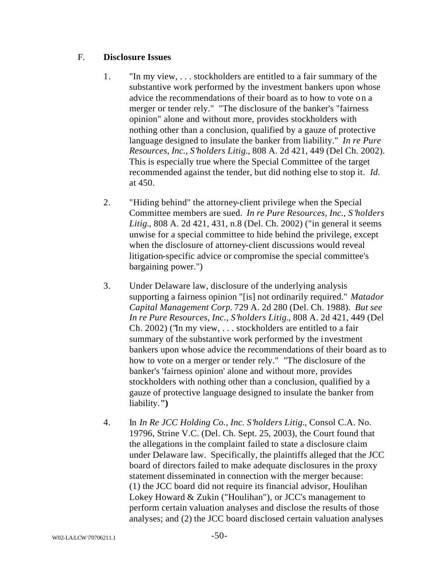### F. **Disclosure Issues**

- 1. "In my view, . . . stockholders are entitled to a fair summary of the substantive work performed by the investment bankers upon whose advice the recommendations of their board as to how to vote on a merger or tender rely." "The disclosure of the banker's "fairness opinion" alone and without more, provides stockholders with nothing other than a conclusion, qualified by a gauze of protective language designed to insulate the banker from liability." *In re Pure Resources, Inc., S'holders Litig.*, 808 A. 2d 421, 449 (Del Ch. 2002). This is especially true where the Special Committee of the target recommended against the tender, but did nothing else to stop it. *Id.* at 450.
- 2. "Hiding behind" the attorney-client privilege when the Special Committee members are sued. *In re Pure Resources, Inc., S'holders Litig.*, 808 A. 2d 421, 431, n.8 (Del. Ch. 2002) ("in general it seems unwise for a special committee to hide behind the privilege, except when the disclosure of attorney-client discussions would reveal litigation-specific advice or compromise the special committee's bargaining power.")
- 3. Under Delaware law, disclosure of the underlying analysis supporting a fairness opinion "[is] not ordinarily required." *Matador Capital Management Corp.* 729 A. 2d 280 (Del. Ch. 1988). *But see In re Pure Resources, Inc., S'holders Litig.*, 808 A. 2d 421, 449 (Del Ch. 2002) ("In my view, . . . stockholders are entitled to a fair summary of the substantive work performed by the investment bankers upon whose advice the recommendations of their board as to how to vote on a merger or tender rely." "The disclosure of the banker's 'fairness opinion' alone and without more, provides stockholders with nothing other than a conclusion, qualified by a gauze of protective language designed to insulate the banker from liability.**")**
- 4. In *In Re JCC Holding Co., Inc. S'holders Litig.*, Consol C.A. No. 19796, Strine V.C. (Del. Ch. Sept. 25, 2003), the Court found that the allegations in the complaint failed to state a disclosure claim under Delaware law. Specifically, the plaintiffs alleged that the JCC board of directors failed to make adequate disclosures in the proxy statement disseminated in connection with the merger because: (1) the JCC board did not require its financial advisor, Houlihan Lokey Howard & Zukin ("Houlihan"), or JCC's management to perform certain valuation analyses and disclose the results of those analyses; and (2) the JCC board disclosed certain valuation analyses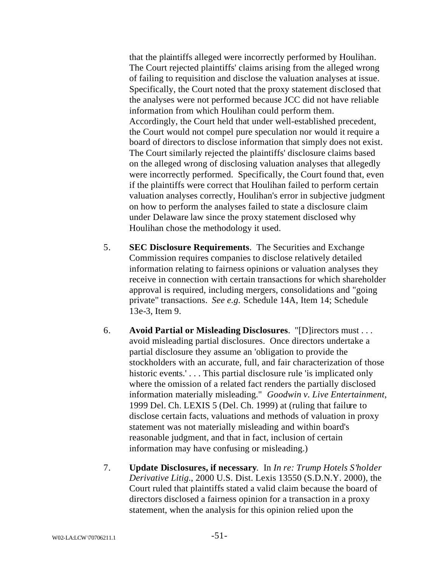that the plaintiffs alleged were incorrectly performed by Houlihan. The Court rejected plaintiffs' claims arising from the alleged wrong of failing to requisition and disclose the valuation analyses at issue. Specifically, the Court noted that the proxy statement disclosed that the analyses were not performed because JCC did not have reliable information from which Houlihan could perform them. Accordingly, the Court held that under well-established precedent, the Court would not compel pure speculation nor would it require a board of directors to disclose information that simply does not exist. The Court similarly rejected the plaintiffs' disclosure claims based on the alleged wrong of disclosing valuation analyses that allegedly were incorrectly performed. Specifically, the Court found that, even if the plaintiffs were correct that Houlihan failed to perform certain valuation analyses correctly, Houlihan's error in subjective judgment on how to perform the analyses failed to state a disclosure claim under Delaware law since the proxy statement disclosed why Houlihan chose the methodology it used.

- 5. **SEC Disclosure Requirements**. The Securities and Exchange Commission requires companies to disclose relatively detailed information relating to fairness opinions or valuation analyses they receive in connection with certain transactions for which shareholder approval is required, including mergers, consolidations and "going private" transactions. *See e.g.* Schedule 14A, Item 14; Schedule 13e-3, Item 9.
- 6. **Avoid Partial or Misleading Disclosures**. "[D]irectors must . . . avoid misleading partial disclosures. Once directors undertake a partial disclosure they assume an 'obligation to provide the stockholders with an accurate, full, and fair characterization of those historic events.'... This partial disclosure rule 'is implicated only where the omission of a related fact renders the partially disclosed information materially misleading." *Goodwin v. Live Entertainment*, 1999 Del. Ch. LEXIS 5 (Del. Ch. 1999) at (ruling that failure to disclose certain facts, valuations and methods of valuation in proxy statement was not materially misleading and within board's reasonable judgment, and that in fact, inclusion of certain information may have confusing or misleading.)
- 7. **Update Disclosures, if necessary**. In *In re: Trump Hotels S'holder Derivative Litig.*, 2000 U.S. Dist. Lexis 13550 (S.D.N.Y. 2000), the Court ruled that plaintiffs stated a valid claim because the board of directors disclosed a fairness opinion for a transaction in a proxy statement, when the analysis for this opinion relied upon the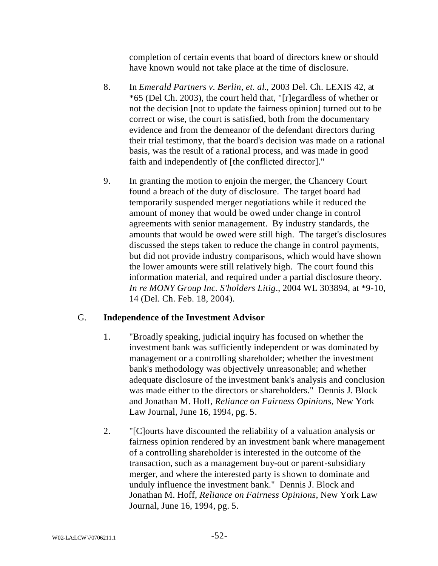completion of certain events that board of directors knew or should have known would not take place at the time of disclosure.

- 8. In *Emerald Partners v. Berlin, et. al.*, 2003 Del. Ch. LEXIS 42, at \*65 (Del Ch. 2003), the court held that, "[r]egardless of whether or not the decision [not to update the fairness opinion] turned out to be correct or wise, the court is satisfied, both from the documentary evidence and from the demeanor of the defendant directors during their trial testimony, that the board's decision was made on a rational basis, was the result of a rational process, and was made in good faith and independently of [the conflicted director]."
- 9. In granting the motion to enjoin the merger, the Chancery Court found a breach of the duty of disclosure. The target board had temporarily suspended merger negotiations while it reduced the amount of money that would be owed under change in control agreements with senior management. By industry standards, the amounts that would be owed were still high. The target's disclosures discussed the steps taken to reduce the change in control payments, but did not provide industry comparisons, which would have shown the lower amounts were still relatively high. The court found this information material, and required under a partial disclosure theory. *In re MONY Group Inc. S'holders Litig*., 2004 WL 303894, at \*9-10, 14 (Del. Ch. Feb. 18, 2004).

# G. **Independence of the Investment Advisor**

- 1. "Broadly speaking, judicial inquiry has focused on whether the investment bank was sufficiently independent or was dominated by management or a controlling shareholder; whether the investment bank's methodology was objectively unreasonable; and whether adequate disclosure of the investment bank's analysis and conclusion was made either to the directors or shareholders." Dennis J. Block and Jonathan M. Hoff, *Reliance on Fairness Opinions*, New York Law Journal, June 16, 1994, pg. 5.
- 2. "[C]ourts have discounted the reliability of a valuation analysis or fairness opinion rendered by an investment bank where management of a controlling shareholder is interested in the outcome of the transaction, such as a management buy-out or parent-subsidiary merger, and where the interested party is shown to dominate and unduly influence the investment bank." Dennis J. Block and Jonathan M. Hoff, *Reliance on Fairness Opinions*, New York Law Journal, June 16, 1994, pg. 5.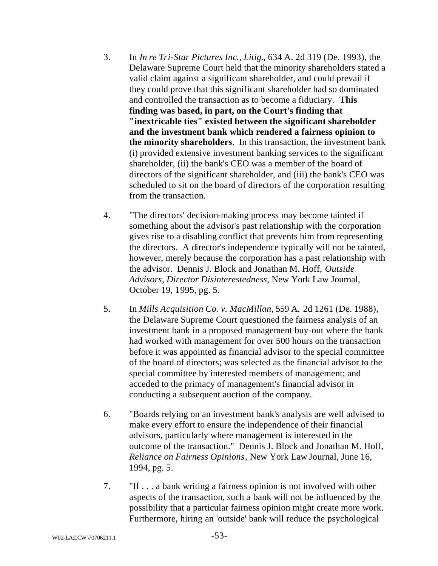- 3. In *In re Tri-Star Pictures Inc., Litig.*, 634 A. 2d 319 (De. 1993), the Delaware Supreme Court held that the minority shareholders stated a valid claim against a significant shareholder, and could prevail if they could prove that this significant shareholder had so dominated and controlled the transaction as to become a fiduciary. **This finding was based, in part, on the Court's finding that "inextricable ties" existed between the significant shareholder and the investment bank which rendered a fairness opinion to the minority shareholders**. In this transaction, the investment bank (i) provided extensive investment banking services to the significant shareholder, (ii) the bank's CEO was a member of the board of directors of the significant shareholder, and (iii) the bank's CEO was scheduled to sit on the board of directors of the corporation resulting from the transaction.
- 4. "The directors' decision-making process may become tainted if something about the advisor's past relationship with the corporation gives rise to a disabling conflict that prevents him from representing the directors. A director's independence typically will not be tainted, however, merely because the corporation has a past relationship with the advisor. Dennis J. Block and Jonathan M. Hoff, *Outside Advisors, Director Disinterestedness*, New York Law Journal, October 19, 1995, pg. 5.
- 5. In *Mills Acquisition Co. v. MacMillan*, 559 A. 2d 1261 (De. 1988), the Delaware Supreme Court questioned the fairness analysis of an investment bank in a proposed management buy-out where the bank had worked with management for over 500 hours on the transaction before it was appointed as financial advisor to the special committee of the board of directors; was selected as the financial advisor to the special committee by interested members of management; and acceded to the primacy of management's financial advisor in conducting a subsequent auction of the company.
- 6. "Boards relying on an investment bank's analysis are well advised to make every effort to ensure the independence of their financial advisors, particularly where management is interested in the outcome of the transaction." Dennis J. Block and Jonathan M. Hoff, *Reliance on Fairness Opinions*, New York Law Journal, June 16, 1994, pg. 5.
- 7. "If . . . a bank writing a fairness opinion is not involved with other aspects of the transaction, such a bank will not be influenced by the possibility that a particular fairness opinion might create more work. Furthermore, hiring an 'outside' bank will reduce the psychological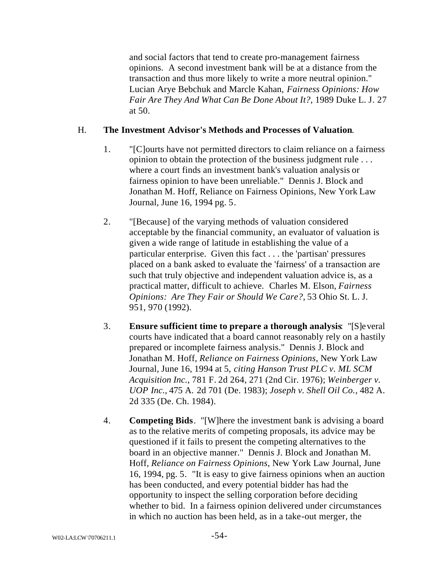and social factors that tend to create pro-management fairness opinions. A second investment bank will be at a distance from the transaction and thus more likely to write a more neutral opinion." Lucian Arye Bebchuk and Marcle Kahan, *Fairness Opinions: How Fair Are They And What Can Be Done About It?*, 1989 Duke L. J. 27 at 50.

### H. **The Investment Advisor's Methods and Processes of Valuation**.

- 1. "[C]ourts have not permitted directors to claim reliance on a fairness opinion to obtain the protection of the business judgment rule . . . where a court finds an investment bank's valuation analysis or fairness opinion to have been unreliable." Dennis J. Block and Jonathan M. Hoff, Reliance on Fairness Opinions, New York Law Journal, June 16, 1994 pg. 5.
- 2. "[Because] of the varying methods of valuation considered acceptable by the financial community, an evaluator of valuation is given a wide range of latitude in establishing the value of a particular enterprise. Given this fact . . . the 'partisan' pressures placed on a bank asked to evaluate the 'fairness' of a transaction are such that truly objective and independent valuation advice is, as a practical matter, difficult to achieve. Charles M. Elson, *Fairness Opinions: Are They Fair or Should We Care?*, 53 Ohio St. L. J. 951, 970 (1992).
- 3. **Ensure sufficient time to prepare a thorough analysis**: "[S]everal courts have indicated that a board cannot reasonably rely on a hastily prepared or incomplete fairness analysis." Dennis J. Block and Jonathan M. Hoff, *Reliance on Fairness Opinions*, New York Law Journal, June 16, 1994 at 5, *citing Hanson Trust PLC v. ML SCM Acquisition Inc.,* 781 F. 2d 264, 271 (2nd Cir. 1976); *Weinberger v. UOP Inc.,* 475 A. 2d 701 (De. 1983); *Joseph v. Shell Oil Co.,* 482 A. 2d 335 (De. Ch. 1984).
- 4. **Competing Bids**. "[W]here the investment bank is advising a board as to the relative merits of competing proposals, its advice may be questioned if it fails to present the competing alternatives to the board in an objective manner." Dennis J. Block and Jonathan M. Hoff, *Reliance on Fairness Opinions*, New York Law Journal, June 16, 1994, pg. 5. "It is easy to give fairness opinions when an auction has been conducted, and every potential bidder has had the opportunity to inspect the selling corporation before deciding whether to bid. In a fairness opinion delivered under circumstances in which no auction has been held, as in a take-out merger, the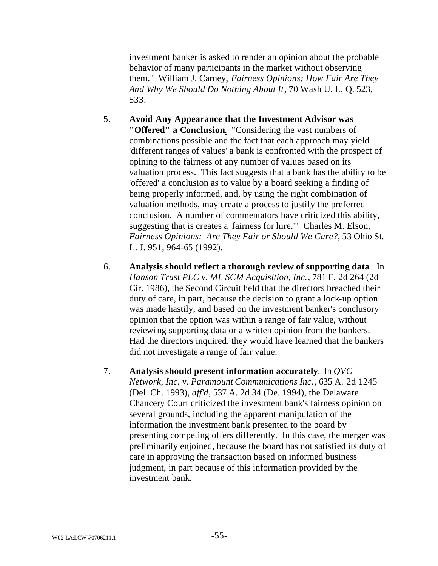investment banker is asked to render an opinion about the probable behavior of many participants in the market without observing them." William J. Carney, *Fairness Opinions: How Fair Are They And Why We Should Do Nothing About It*, 70 Wash U. L. Q. 523, 533.

- 5. **Avoid Any Appearance that the Investment Advisor was "Offered" a Conclusion**. "Considering the vast numbers of combinations possible and the fact that each approach may yield 'different ranges of values' a bank is confronted with the prospect of opining to the fairness of any number of values based on its valuation process. This fact suggests that a bank has the ability to be 'offered' a conclusion as to value by a board seeking a finding of being properly informed, and, by using the right combination of valuation methods, may create a process to justify the preferred conclusion. A number of commentators have criticized this ability, suggesting that is creates a 'fairness for hire.'" Charles M. Elson, *Fairness Opinions: Are They Fair or Should We Care?*, 53 Ohio St. L. J. 951, 964-65 (1992).
- 6. **Analysis should reflect a thorough review of supporting data**. In *Hanson Trust PLC v. ML SCM Acquisition, Inc.*, 781 F. 2d 264 (2d Cir. 1986), the Second Circuit held that the directors breached their duty of care, in part, because the decision to grant a lock-up option was made hastily, and based on the investment banker's conclusory opinion that the option was within a range of fair value, without reviewi ng supporting data or a written opinion from the bankers. Had the directors inquired, they would have learned that the bankers did not investigate a range of fair value.
- 7. **Analysis should present information accurately**. In *QVC Network, Inc. v. Paramount Communications Inc.*, 635 A. 2d 1245 (Del. Ch. 1993), *aff'd*, 537 A. 2d 34 (De. 1994), the Delaware Chancery Court criticized the investment bank's fairness opinion on several grounds, including the apparent manipulation of the information the investment bank presented to the board by presenting competing offers differently. In this case, the merger was preliminarily enjoined, because the board has not satisfied its duty of care in approving the transaction based on informed business judgment, in part because of this information provided by the investment bank.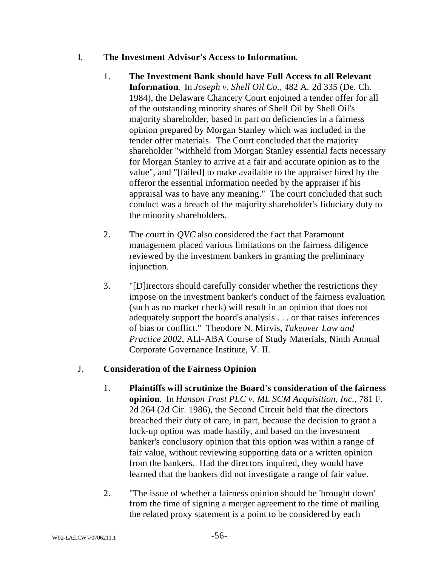### I. **The Investment Advisor's Access to Information**.

- 1. **The Investment Bank should have Full Access to all Relevant Information**. In *Joseph v. Shell Oil Co.,* 482 A. 2d 335 (De. Ch. 1984), the Delaware Chancery Court enjoined a tender offer for all of the outstanding minority shares of Shell Oil by Shell Oil's majority shareholder, based in part on deficiencies in a fairness opinion prepared by Morgan Stanley which was included in the tender offer materials. The Court concluded that the majority shareholder "withheld from Morgan Stanley essential facts necessary for Morgan Stanley to arrive at a fair and accurate opinion as to the value", and "[failed] to make available to the appraiser hired by the offeror the essential information needed by the appraiser if his appraisal was to have any meaning." The court concluded that such conduct was a breach of the majority shareholder's fiduciary duty to the minority shareholders.
- 2. The court in *QVC* also considered the f act that Paramount management placed various limitations on the fairness diligence reviewed by the investment bankers in granting the preliminary injunction.
- 3. "[D]irectors should carefully consider whether the restrictions they impose on the investment banker's conduct of the fairness evaluation (such as no market check) will result in an opinion that does not adequately support the board's analysis . . . or that raises inferences of bias or conflict." Theodore N. Mirvis, *Takeover Law and Practice 2002*, ALI-ABA Course of Study Materials, Ninth Annual Corporate Governance Institute, V. II.

# J. **Consideration of the Fairness Opinion**

- 1. **Plaintiffs will scrutinize the Board's consideration of the fairness opinion**. In *Hanson Trust PLC v. ML SCM Acquisition, Inc.*, 781 F. 2d 264 (2d Cir. 1986), the Second Circuit held that the directors breached their duty of care, in part, because the decision to grant a lock-up option was made hastily, and based on the investment banker's conclusory opinion that this option was within a range of fair value, without reviewing supporting data or a written opinion from the bankers. Had the directors inquired, they would have learned that the bankers did not investigate a range of fair value.
- 2. "The issue of whether a fairness opinion should be 'brought down' from the time of signing a merger agreement to the time of mailing the related proxy statement is a point to be considered by each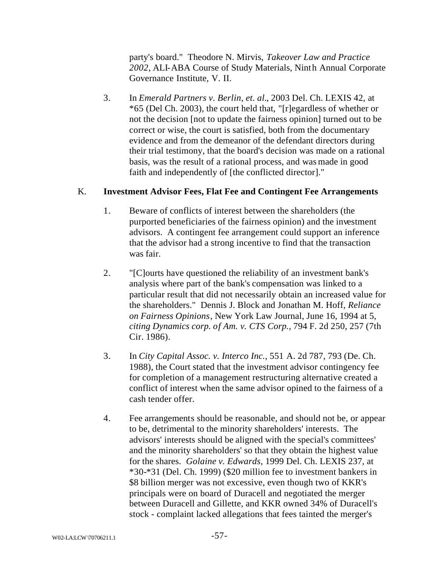party's board." Theodore N. Mirvis, *Takeover Law and Practice 2002*, ALI-ABA Course of Study Materials, Ninth Annual Corporate Governance Institute, V. II.

3. In *Emerald Partners v. Berlin, et. al.*, 2003 Del. Ch. LEXIS 42, at \*65 (Del Ch. 2003), the court held that, "[r]egardless of whether or not the decision [not to update the fairness opinion] turned out to be correct or wise, the court is satisfied, both from the documentary evidence and from the demeanor of the defendant directors during their trial testimony, that the board's decision was made on a rational basis, was the result of a rational process, and was made in good faith and independently of [the conflicted director]."

# K. **Investment Advisor Fees, Flat Fee and Contingent Fee Arrangements**

- 1. Beware of conflicts of interest between the shareholders (the purported beneficiaries of the fairness opinion) and the investment advisors. A contingent fee arrangement could support an inference that the advisor had a strong incentive to find that the transaction was fair.
- 2. "[C]ourts have questioned the reliability of an investment bank's analysis where part of the bank's compensation was linked to a particular result that did not necessarily obtain an increased value for the shareholders." Dennis J. Block and Jonathan M. Hoff, *Reliance on Fairness Opinions*, New York Law Journal, June 16, 1994 at 5, *citing Dynamics corp. of Am. v. CTS Corp.,* 794 F. 2d 250, 257 (7th Cir. 1986).
- 3. In *City Capital Assoc. v. Interco Inc.,* 551 A. 2d 787, 793 (De. Ch. 1988), the Court stated that the investment advisor contingency fee for completion of a management restructuring alternative created a conflict of interest when the same advisor opined to the fairness of a cash tender offer.
- 4. Fee arrangements should be reasonable, and should not be, or appear to be, detrimental to the minority shareholders' interests. The advisors' interests should be aligned with the special's committees' and the minority shareholders' so that they obtain the highest value for the shares. *Golaine v. Edwards*, 1999 Del. Ch. LEXIS 237, at \*30-\*31 (Del. Ch. 1999) (\$20 million fee to investment bankers in \$8 billion merger was not excessive, even though two of KKR's principals were on board of Duracell and negotiated the merger between Duracell and Gillette, and KKR owned 34% of Duracell's stock - complaint lacked allegations that fees tainted the merger's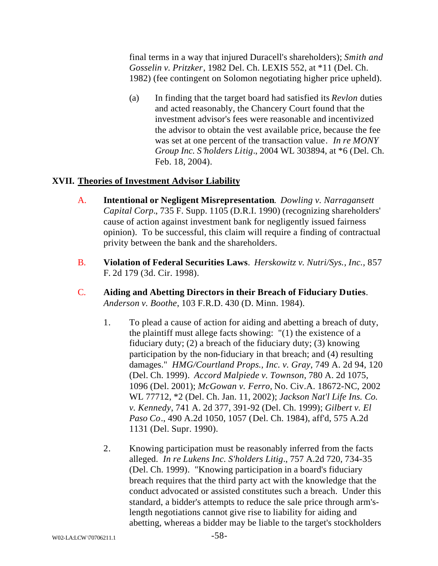final terms in a way that injured Duracell's shareholders); *Smith and Gosselin v. Pritzker*, 1982 Del. Ch. LEXIS 552, at \*11 (Del. Ch. 1982) (fee contingent on Solomon negotiating higher price upheld).

(a) In finding that the target board had satisfied its *Revlon* duties and acted reasonably, the Chancery Court found that the investment advisor's fees were reasonable and incentivized the advisor to obtain the vest available price, because the fee was set at one percent of the transaction value. *In re MONY Group Inc. S'holders Litig*., 2004 WL 303894, at \*6 (Del. Ch. Feb. 18, 2004).

# **XVII. Theories of Investment Advisor Liability**

- A. **Intentional or Negligent Misrepresentation**. *Dowling v. Narragansett Capital Corp.*, 735 F. Supp. 1105 (D.R.I. 1990) (recognizing shareholders' cause of action against investment bank for negligently issued fairness opinion). To be successful, this claim will require a finding of contractual privity between the bank and the shareholders.
- B. **Violation of Federal Securities Laws**. *Herskowitz v. Nutri/Sys., Inc.,* 857 F. 2d 179 (3d. Cir. 1998).
- C. **Aiding and Abetting Directors in their Breach of Fiduciary Duties**. *Anderson v. Boothe*, 103 F.R.D. 430 (D. Minn. 1984).
	- 1. To plead a cause of action for aiding and abetting a breach of duty, the plaintiff must allege facts showing: "(1) the existence of a fiduciary duty; (2) a breach of the fiduciary duty; (3) knowing participation by the non-fiduciary in that breach; and (4) resulting damages." *HMG/Courtland Props., Inc. v. Gray*, 749 A. 2d 94, 120 (Del. Ch. 1999). *Accord Malpiede v. Townson*, 780 A. 2d 1075, 1096 (Del. 2001); *McGowan v. Ferro,* No. Civ.A. 18672-NC, 2002 WL 77712, \*2 (Del. Ch. Jan. 11, 2002); *Jackson Nat'l Life Ins. Co. v. Kennedy*, 741 A. 2d 377, 391-92 (Del. Ch. 1999); *Gilbert v. El Paso Co*., 490 A.2d 1050, 1057 (Del. Ch. 1984), aff'd, 575 A.2d 1131 (Del. Supr. 1990).
	- 2. Knowing participation must be reasonably inferred from the facts alleged. *In re Lukens Inc. S'holders Litig*., 757 A.2d 720, 734-35 (Del. Ch. 1999). "Knowing participation in a board's fiduciary breach requires that the third party act with the knowledge that the conduct advocated or assisted constitutes such a breach. Under this standard, a bidder's attempts to reduce the sale price through arm'slength negotiations cannot give rise to liability for aiding and abetting, whereas a bidder may be liable to the target's stockholders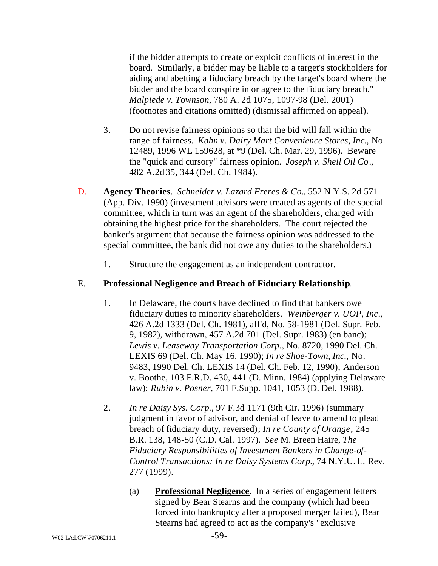if the bidder attempts to create or exploit conflicts of interest in the board. Similarly, a bidder may be liable to a target's stockholders for aiding and abetting a fiduciary breach by the target's board where the bidder and the board conspire in or agree to the fiduciary breach." *Malpiede v. Townson*, 780 A. 2d 1075, 1097-98 (Del. 2001) (footnotes and citations omitted) (dismissal affirmed on appeal).

- 3. Do not revise fairness opinions so that the bid will fall within the range of fairness. *Kahn v. Dairy Mart Convenience Stores, Inc*., No. 12489, 1996 WL 159628, at \*9 (Del. Ch. Mar. 29, 1996). Beware the "quick and cursory" fairness opinion. *Joseph v. Shell Oil Co*., 482 A.2d 35, 344 (Del. Ch. 1984).
- D. **Agency Theories**. *Schneider v. Lazard Freres & Co.*, 552 N.Y.S. 2d 571 (App. Div. 1990) (investment advisors were treated as agents of the special committee, which in turn was an agent of the shareholders, charged with obtaining the highest price for the shareholders. The court rejected the banker's argument that because the fairness opinion was addressed to the special committee, the bank did not owe any duties to the shareholders.)
	- 1. Structure the engagement as an independent contractor.

### E. **Professional Negligence and Breach of Fiduciary Relationship**.

- 1. In Delaware, the courts have declined to find that bankers owe fiduciary duties to minority shareholders. *Weinberger v. UOP, Inc*., 426 A.2d 1333 (Del. Ch. 1981), aff'd, No. 58-1981 (Del. Supr. Feb. 9, 1982), withdrawn, 457 A.2d 701 (Del. Supr. 1983) (en banc); *Lewis v. Leaseway Transportation Corp*., No. 8720, 1990 Del. Ch. LEXIS 69 (Del. Ch. May 16, 1990); *In re Shoe-Town, Inc.*, No. 9483, 1990 Del. Ch. LEXIS 14 (Del. Ch. Feb. 12, 1990); Anderson v. Boothe, 103 F.R.D. 430, 441 (D. Minn. 1984) (applying Delaware law); *Rubin v. Posner*, 701 F.Supp. 1041, 1053 (D. Del. 1988).
- 2. *In re Daisy Sys. Corp.,* 97 F.3d 1171 (9th Cir. 1996) (summary judgment in favor of advisor, and denial of leave to amend to plead breach of fiduciary duty, reversed); *In re County of Orange*, 245 B.R. 138, 148-50 (C.D. Cal. 1997). *See* M. Breen Haire, *The Fiduciary Responsibilities of Investment Bankers in Change-of-Control Transactions: In re Daisy Systems Corp.*, 74 N.Y.U. L. Rev. 277 (1999).
	- (a) **Professional Negligence**. In a series of engagement letters signed by Bear Stearns and the company (which had been forced into bankruptcy after a proposed merger failed), Bear Stearns had agreed to act as the company's "exclusive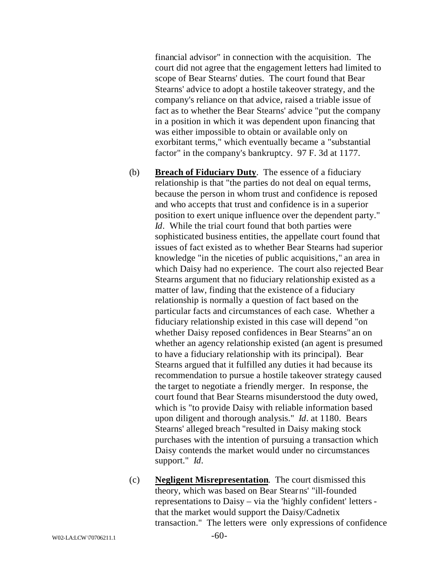financial advisor" in connection with the acquisition. The court did not agree that the engagement letters had limited to scope of Bear Stearns' duties. The court found that Bear Stearns' advice to adopt a hostile takeover strategy, and the company's reliance on that advice, raised a triable issue of fact as to whether the Bear Stearns' advice "put the company in a position in which it was dependent upon financing that was either impossible to obtain or available only on exorbitant terms," which eventually became a "substantial factor" in the company's bankruptcy. 97 F. 3d at 1177.

- (b) **Breach of Fiduciary Duty**. The essence of a fiduciary relationship is that "the parties do not deal on equal terms, because the person in whom trust and confidence is reposed and who accepts that trust and confidence is in a superior position to exert unique influence over the dependent party." *Id*. While the trial court found that both parties were sophisticated business entities, the appellate court found that issues of fact existed as to whether Bear Stearns had superior knowledge "in the niceties of public acquisitions," an area in which Daisy had no experience. The court also rejected Bear Stearns argument that no fiduciary relationship existed as a matter of law, finding that the existence of a fiduciary relationship is normally a question of fact based on the particular facts and circumstances of each case. Whether a fiduciary relationship existed in this case will depend "on whether Daisy reposed confidences in Bear Stearns" an on whether an agency relationship existed (an agent is presumed to have a fiduciary relationship with its principal). Bear Stearns argued that it fulfilled any duties it had because its recommendation to pursue a hostile takeover strategy caused the target to negotiate a friendly merger. In response, the court found that Bear Stearns misunderstood the duty owed, which is "to provide Daisy with reliable information based upon diligent and thorough analysis." *Id*. at 1180. Bears Stearns' alleged breach "resulted in Daisy making stock purchases with the intention of pursuing a transaction which Daisy contends the market would under no circumstances support." *Id*.
- (c) **Negligent Misrepresentation**. The court dismissed this theory, which was based on Bear Stearns' "ill-founded representations to Daisy – via the 'highly confident' letters that the market would support the Daisy/Cadnetix transaction." The letters were only expressions of confidence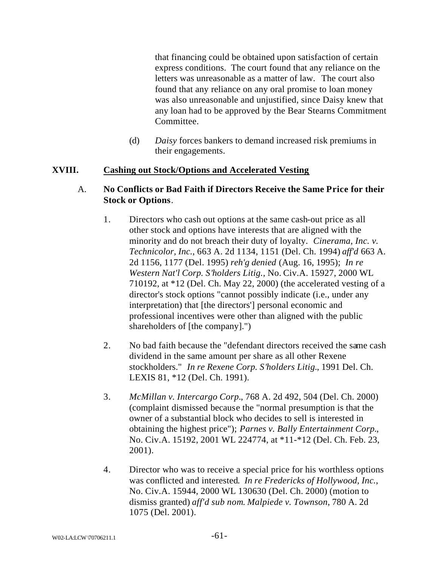that financing could be obtained upon satisfaction of certain express conditions. The court found that any reliance on the letters was unreasonable as a matter of law. The court also found that any reliance on any oral promise to loan money was also unreasonable and unjustified, since Daisy knew that any loan had to be approved by the Bear Stearns Commitment Committee.

(d) *Daisy* forces bankers to demand increased risk premiums in their engagements.

### **XVIII. Cashing out Stock/Options and Accelerated Vesting**

### A. **No Conflicts or Bad Faith if Directors Receive the Same Price for their Stock or Options**.

- 1. Directors who cash out options at the same cash-out price as all other stock and options have interests that are aligned with the minority and do not breach their duty of loyalty. *Cinerama, Inc. v. Technicolor, Inc.*, 663 A. 2d 1134, 1151 (Del. Ch. 1994) *aff'd* 663 A. 2d 1156, 1177 (Del. 1995) *reh'g denied* (Aug. 16, 1995); *In re Western Nat'l Corp. S'holders Litig.,* No. Civ.A. 15927, 2000 WL 710192, at \*12 (Del. Ch. May 22, 2000) (the accelerated vesting of a director's stock options "cannot possibly indicate (i.e., under any interpretation) that [the directors'] personal economic and professional incentives were other than aligned with the public shareholders of [the company].")
- 2. No bad faith because the "defendant directors received the same cash dividend in the same amount per share as all other Rexene stockholders." *In re Rexene Corp. S'holders Litig.*, 1991 Del. Ch. LEXIS 81, \*12 (Del. Ch. 1991).
- 3. *McMillan v. Intercargo Corp.*, 768 A. 2d 492, 504 (Del. Ch. 2000) (complaint dismissed because the "normal presumption is that the owner of a substantial block who decides to sell is interested in obtaining the highest price"); *Parnes v. Bally Entertainment Corp.*, No. Civ.A. 15192, 2001 WL 224774, at \*11-\*12 (Del. Ch. Feb. 23, 2001).
- 4. Director who was to receive a special price for his worthless options was conflicted and interested. *In re Fredericks of Hollywood, Inc.*, No. Civ.A. 15944, 2000 WL 130630 (Del. Ch. 2000) (motion to dismiss granted) *aff'd sub nom*. *Malpiede v. Townson*, 780 A. 2d 1075 (Del. 2001).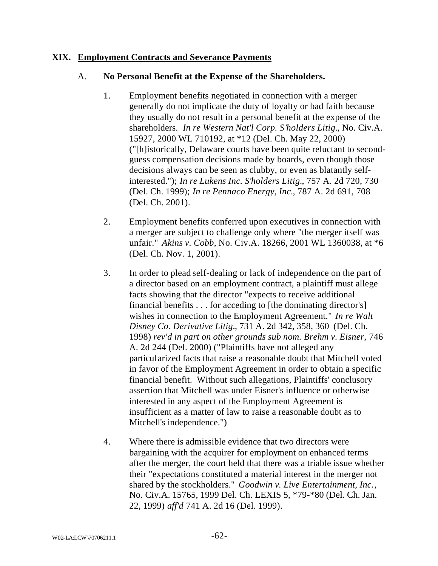### **XIX. Employment Contracts and Severance Payments**

### A. **No Personal Benefit at the Expense of the Shareholders.**

- 1. Employment benefits negotiated in connection with a merger generally do not implicate the duty of loyalty or bad faith because they usually do not result in a personal benefit at the expense of the shareholders. *In re Western Nat'l Corp. S'holders Litig.*, No. Civ.A. 15927, 2000 WL 710192, at \*12 (Del. Ch. May 22, 2000) ("[h]istorically, Delaware courts have been quite reluctant to secondguess compensation decisions made by boards, even though those decisions always can be seen as clubby, or even as blatantly selfinterested."); *In re Lukens Inc. S'holders Litig.*, 757 A. 2d 720, 730 (Del. Ch. 1999); *In re Pennaco Energy, Inc.*, 787 A. 2d 691, 708 (Del. Ch. 2001).
- 2. Employment benefits conferred upon executives in connection with a merger are subject to challenge only where "the merger itself was unfair." *Akins v. Cobb*, No. Civ.A. 18266, 2001 WL 1360038, at \*6 (Del. Ch. Nov. 1, 2001).
- 3. In order to plead self-dealing or lack of independence on the part of a director based on an employment contract, a plaintiff must allege facts showing that the director "expects to receive additional financial benefits . . . for acceding to [the dominating director's] wishes in connection to the Employment Agreement." *In re Walt Disney Co. Derivative Litig.*, 731 A. 2d 342, 358, 360 (Del. Ch. 1998) *rev'd in part on other grounds sub nom. Brehm v. Eisner*, 746 A. 2d 244 (Del. 2000) ("Plaintiffs have not alleged any particularized facts that raise a reasonable doubt that Mitchell voted in favor of the Employment Agreement in order to obtain a specific financial benefit. Without such allegations, Plaintiffs' conclusory assertion that Mitchell was under Eisner's influence or otherwise interested in any aspect of the Employment Agreement is insufficient as a matter of law to raise a reasonable doubt as to Mitchell's independence.")
- 4. Where there is admissible evidence that two directors were bargaining with the acquirer for employment on enhanced terms after the merger, the court held that there was a triable issue whether their "expectations constituted a material interest in the merger not shared by the stockholders." *Goodwin v. Live Entertainment, Inc.*, No. Civ.A. 15765, 1999 Del. Ch. LEXIS 5, \*79-\*80 (Del. Ch. Jan. 22, 1999) *aff'd* 741 A. 2d 16 (Del. 1999).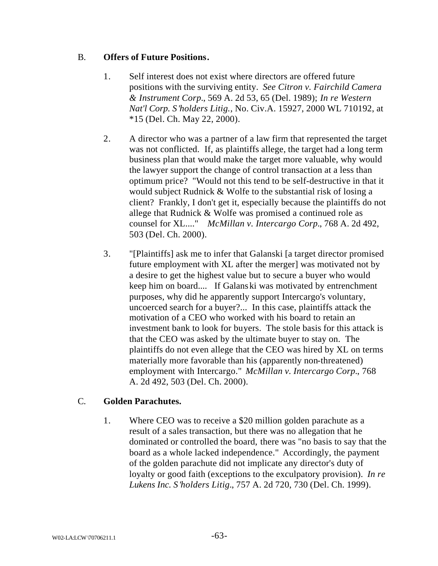# B. **Offers of Future Positions.**

- 1. Self interest does not exist where directors are offered future positions with the surviving entity. *See Citron v. Fairchild Camera & Instrument Corp.*, 569 A. 2d 53, 65 (Del. 1989); *In re Western Nat'l Corp. S'holders Litig.,* No. Civ.A. 15927, 2000 WL 710192, at \*15 (Del. Ch. May 22, 2000).
- 2. A director who was a partner of a law firm that represented the target was not conflicted. If, as plaintiffs allege, the target had a long term business plan that would make the target more valuable, why would the lawyer support the change of control transaction at a less than optimum price? "Would not this tend to be self-destructive in that it would subject Rudnick & Wolfe to the substantial risk of losing a client? Frankly, I don't get it, especially because the plaintiffs do not allege that Rudnick & Wolfe was promised a continued role as counsel for XL...." *McMillan v. Intercargo Corp.*, 768 A. 2d 492, 503 (Del. Ch. 2000).
- 3. "[Plaintiffs] ask me to infer that Galanski [a target director promised future employment with XL after the merger] was motivated not by a desire to get the highest value but to secure a buyer who would keep him on board.... If Galanski was motivated by entrenchment purposes, why did he apparently support Intercargo's voluntary, uncoerced search for a buyer?... In this case, plaintiffs attack the motivation of a CEO who worked with his board to retain an investment bank to look for buyers. The stole basis for this attack is that the CEO was asked by the ultimate buyer to stay on. The plaintiffs do not even allege that the CEO was hired by XL on terms materially more favorable than his (apparently non-threatened) employment with Intercargo." *McMillan v. Intercargo Corp.*, 768 A. 2d 492, 503 (Del. Ch. 2000).

# C. **Golden Parachutes.**

1. Where CEO was to receive a \$20 million golden parachute as a result of a sales transaction, but there was no allegation that he dominated or controlled the board, there was "no basis to say that the board as a whole lacked independence." Accordingly, the payment of the golden parachute did not implicate any director's duty of loyalty or good faith (exceptions to the exculpatory provision). *In re Lukens Inc. S'holders Litig.*, 757 A. 2d 720, 730 (Del. Ch. 1999).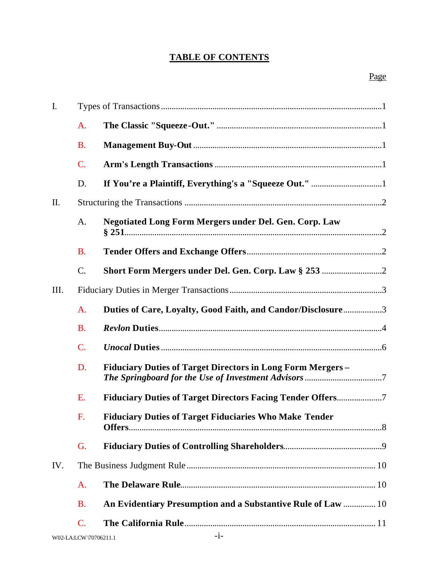# **TABLE OF CONTENTS**

| I.   |                 |                                                                   |
|------|-----------------|-------------------------------------------------------------------|
|      | A.              |                                                                   |
|      | <b>B.</b>       |                                                                   |
|      | C.              |                                                                   |
|      | D.              |                                                                   |
| П.   |                 |                                                                   |
|      | A.              | <b>Negotiated Long Form Mergers under Del. Gen. Corp. Law</b>     |
|      | <b>B.</b>       |                                                                   |
|      | $\mathcal{C}$ . |                                                                   |
| III. |                 |                                                                   |
|      | A.              | Duties of Care, Loyalty, Good Faith, and Candor/Disclosure3       |
|      | <b>B.</b>       |                                                                   |
|      | C.              |                                                                   |
|      | D.              | <b>Fiduciary Duties of Target Directors in Long Form Mergers-</b> |
|      | E.              | <b>Fiduciary Duties of Target Directors Facing Tender Offers7</b> |
|      | F.              | <b>Fiduciary Duties of Target Fiduciaries Who Make Tender</b>     |
|      | G.              |                                                                   |
| IV.  |                 |                                                                   |
|      | A.              |                                                                   |
|      | <b>B.</b>       | An Evidentiary Presumption and a Substantive Rule of Law  10      |
|      | C.              |                                                                   |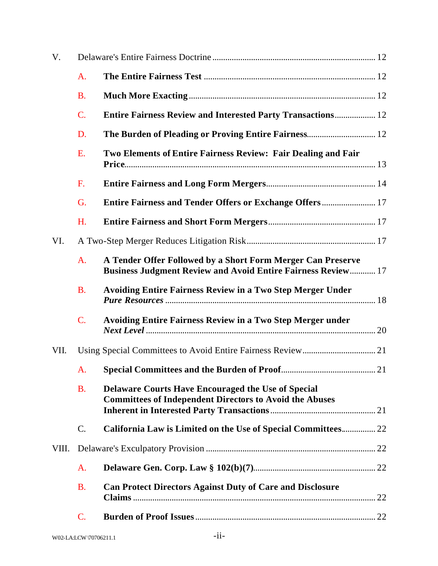| V.    |                 |                                                                                                                                    |  |
|-------|-----------------|------------------------------------------------------------------------------------------------------------------------------------|--|
|       | A.              |                                                                                                                                    |  |
|       | <b>B.</b>       |                                                                                                                                    |  |
|       | $\mathcal{C}$ . | <b>Entire Fairness Review and Interested Party Transactions 12</b>                                                                 |  |
|       | D.              | The Burden of Pleading or Proving Entire Fairness 12                                                                               |  |
|       | E.              | Two Elements of Entire Fairness Review: Fair Dealing and Fair                                                                      |  |
|       | F.              |                                                                                                                                    |  |
|       | G.              | Entire Fairness and Tender Offers or Exchange Offers 17                                                                            |  |
|       | H.              |                                                                                                                                    |  |
| VI.   |                 |                                                                                                                                    |  |
|       | A.              | A Tender Offer Followed by a Short Form Merger Can Preserve<br><b>Business Judgment Review and Avoid Entire Fairness Review 17</b> |  |
|       | <b>B.</b>       | <b>Avoiding Entire Fairness Review in a Two Step Merger Under</b>                                                                  |  |
|       | $\mathcal{C}$ . | <b>Avoiding Entire Fairness Review in a Two Step Merger under</b>                                                                  |  |
| VII.  |                 |                                                                                                                                    |  |
|       | A.              |                                                                                                                                    |  |
|       | <b>B.</b>       | Delaware Courts Have Encouraged the Use of Special<br><b>Committees of Independent Directors to Avoid the Abuses</b>               |  |
|       | C.              | California Law is Limited on the Use of Special Committees 22                                                                      |  |
| VIII. |                 |                                                                                                                                    |  |
|       | A.              |                                                                                                                                    |  |
|       | <b>B.</b>       | <b>Can Protect Directors Against Duty of Care and Disclosure</b>                                                                   |  |
|       | C.              |                                                                                                                                    |  |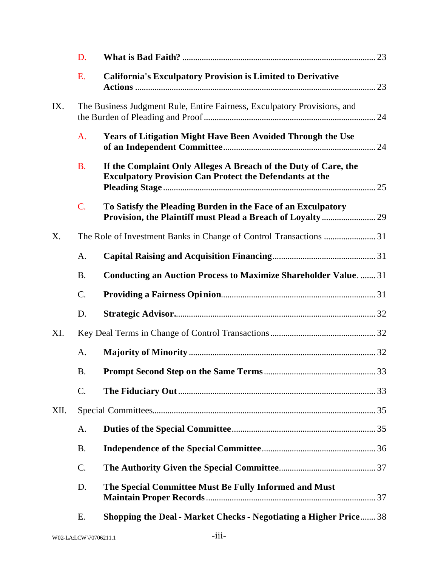|      | D.              |                                                                                                                                   |  |
|------|-----------------|-----------------------------------------------------------------------------------------------------------------------------------|--|
|      | E.              | <b>California's Exculpatory Provision is Limited to Derivative</b>                                                                |  |
| IX.  |                 | The Business Judgment Rule, Entire Fairness, Exculpatory Provisions, and                                                          |  |
|      | A.              | Years of Litigation Might Have Been Avoided Through the Use                                                                       |  |
|      | <b>B.</b>       | If the Complaint Only Alleges A Breach of the Duty of Care, the<br><b>Exculpatory Provision Can Protect the Defendants at the</b> |  |
|      | C.              | To Satisfy the Pleading Burden in the Face of an Exculpatory                                                                      |  |
| X.   |                 |                                                                                                                                   |  |
|      | A.              |                                                                                                                                   |  |
|      | <b>B.</b>       | <b>Conducting an Auction Process to Maximize Shareholder Value31</b>                                                              |  |
|      | C.              |                                                                                                                                   |  |
|      | D.              |                                                                                                                                   |  |
| XI.  |                 |                                                                                                                                   |  |
|      | A.              |                                                                                                                                   |  |
|      | <b>B.</b>       |                                                                                                                                   |  |
|      | C.              |                                                                                                                                   |  |
| XII. |                 |                                                                                                                                   |  |
|      | A.              |                                                                                                                                   |  |
|      | <b>B.</b>       |                                                                                                                                   |  |
|      | $\mathcal{C}$ . |                                                                                                                                   |  |
|      | D.              | The Special Committee Must Be Fully Informed and Must                                                                             |  |
|      | Ε.              | <b>Shopping the Deal - Market Checks - Negotiating a Higher Price</b> 38                                                          |  |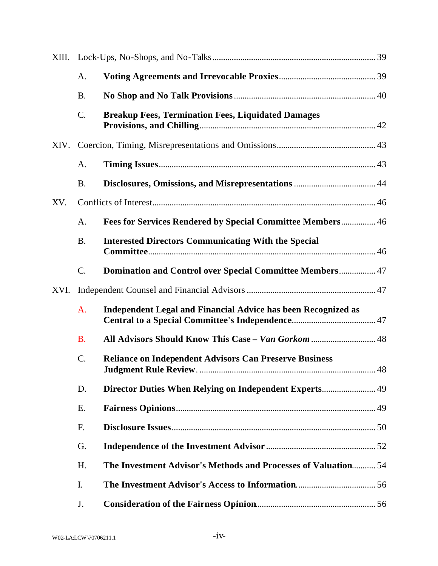|      | A.              |                                                                      |    |
|------|-----------------|----------------------------------------------------------------------|----|
|      | <b>B.</b>       |                                                                      |    |
|      | $C$ .           | <b>Breakup Fees, Termination Fees, Liquidated Damages</b>            |    |
|      |                 |                                                                      |    |
|      | A.              |                                                                      |    |
|      | <b>B.</b>       |                                                                      |    |
| XV.  |                 |                                                                      |    |
|      | A.              | Fees for Services Rendered by Special Committee Members 46           |    |
|      | <b>B.</b>       | <b>Interested Directors Communicating With the Special</b>           |    |
|      | $\mathcal{C}$ . | Domination and Control over Special Committee Members 47             |    |
| XVI. |                 |                                                                      |    |
|      | A.              | <b>Independent Legal and Financial Advice has been Recognized as</b> |    |
|      | <b>B.</b>       | All Advisors Should Know This Case - Van Gorkom  48                  |    |
|      | C.              | <b>Reliance on Independent Advisors Can Preserve Business</b>        | 48 |
|      | D.              |                                                                      |    |
|      | Ε.              |                                                                      |    |
|      | F.              |                                                                      |    |
|      | G.              |                                                                      |    |
|      | H.              | The Investment Advisor's Methods and Processes of Valuation 54       |    |
|      | I.              |                                                                      |    |
|      | J.              |                                                                      |    |